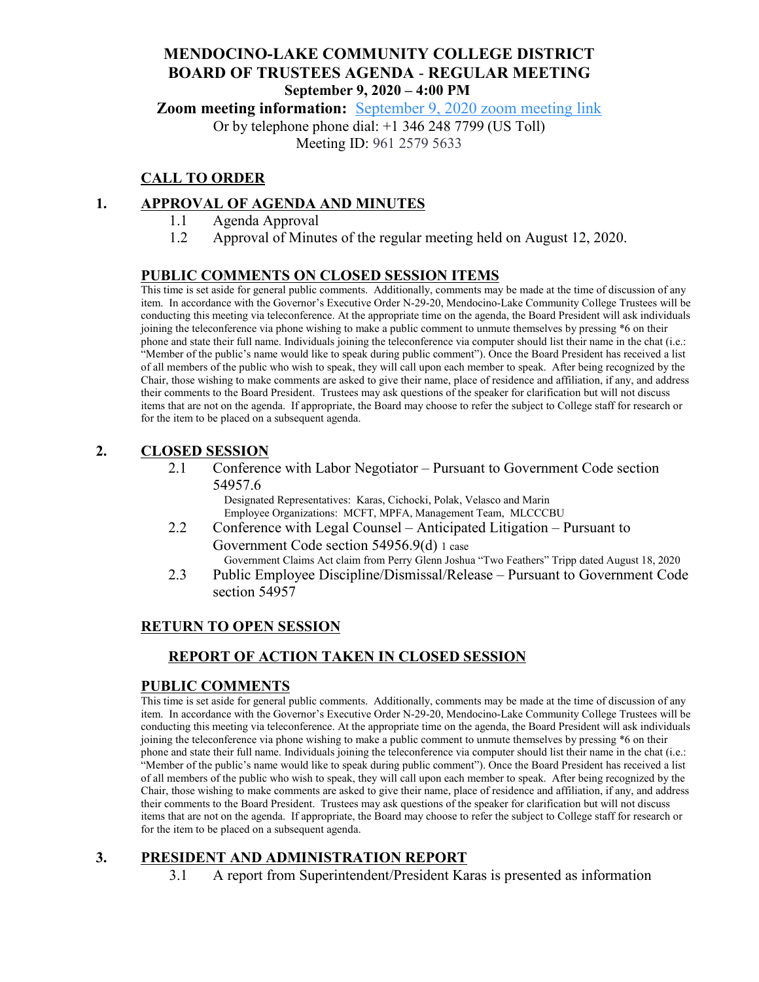# **MENDOCINO-LAKE COMMUNITY COLLEGE DISTRICT BOARD OF TRUSTEES AGENDA** - **REGULAR MEETING September 9, 2020 – 4:00 PM**

**Zoom meeting information:** [September 9, 2020 zoom meeting link](https://cccconfer.zoom.us/s/96125795633)

Or by telephone phone dial: +1 346 248 7799 (US Toll) Meeting ID: 961 2579 5633

# **CALL TO ORDER**

### **1. APPROVAL OF AGENDA AND MINUTES**

- 1.1 Agenda Approval
- 1.2 Approval of Minutes of the regular meeting held on August 12, 2020.

### **PUBLIC COMMENTS ON CLOSED SESSION ITEMS**

This time is set aside for general public comments. Additionally, comments may be made at the time of discussion of any item. In accordance with the Governor's Executive Order N-29-20, Mendocino-Lake Community College Trustees will be conducting this meeting via teleconference. At the appropriate time on the agenda, the Board President will ask individuals joining the teleconference via phone wishing to make a public comment to unmute themselves by pressing \*6 on their phone and state their full name. Individuals joining the teleconference via computer should list their name in the chat (i.e.: "Member of the public's name would like to speak during public comment"). Once the Board President has received a list of all members of the public who wish to speak, they will call upon each member to speak. After being recognized by the Chair, those wishing to make comments are asked to give their name, place of residence and affiliation, if any, and address their comments to the Board President. Trustees may ask questions of the speaker for clarification but will not discuss items that are not on the agenda. If appropriate, the Board may choose to refer the subject to College staff for research or for the item to be placed on a subsequent agenda.

### **2. CLOSED SESSION**

2.1 Conference with Labor Negotiator – Pursuant to Government Code section 54957.6

> Designated Representatives: Karas, Cichocki, Polak, Velasco and Marin Employee Organizations: MCFT, MPFA, Management Team, MLCCCBU

- 2.2 Conference with Legal Counsel Anticipated Litigation Pursuant to Government Code section 54956.9(d) 1 case Government Claims Act claim from Perry Glenn Joshua "Two Feathers" Tripp dated August 18, 2020
- 2.3 Public Employee Discipline/Dismissal/Release Pursuant to Government Code section 54957

### **RETURN TO OPEN SESSION**

### **REPORT OF ACTION TAKEN IN CLOSED SESSION**

### **PUBLIC COMMENTS**

This time is set aside for general public comments. Additionally, comments may be made at the time of discussion of any item. In accordance with the Governor's Executive Order N-29-20, Mendocino-Lake Community College Trustees will be conducting this meeting via teleconference. At the appropriate time on the agenda, the Board President will ask individuals joining the teleconference via phone wishing to make a public comment to unmute themselves by pressing \*6 on their phone and state their full name. Individuals joining the teleconference via computer should list their name in the chat (i.e.: "Member of the public's name would like to speak during public comment"). Once the Board President has received a list of all members of the public who wish to speak, they will call upon each member to speak. After being recognized by the Chair, those wishing to make comments are asked to give their name, place of residence and affiliation, if any, and address their comments to the Board President. Trustees may ask questions of the speaker for clarification but will not discuss items that are not on the agenda. If appropriate, the Board may choose to refer the subject to College staff for research or for the item to be placed on a subsequent agenda.

### **3. PRESIDENT AND ADMINISTRATION REPORT**

3.1 A report from Superintendent/President Karas is presented as information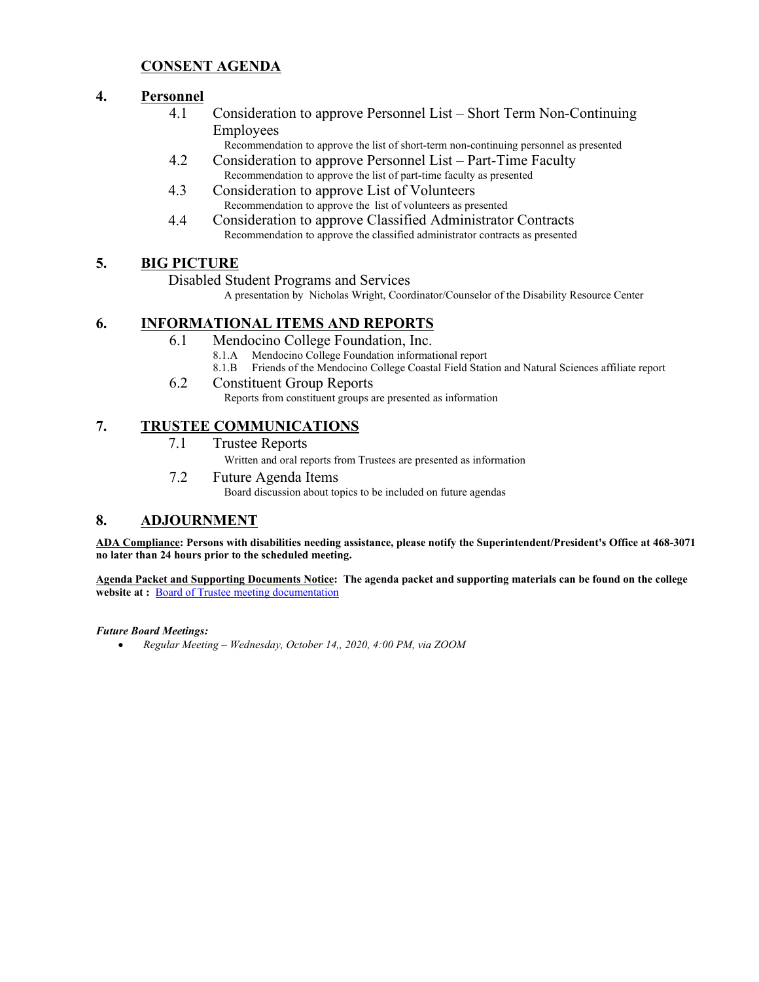### **CONSENT AGENDA**

### **4. Personnel**

- 4.1 Consideration to approve Personnel List Short Term Non-Continuing Employees
	- Recommendation to approve the list of short-term non-continuing personnel as presented
- 4.2 Consideration to approve Personnel List Part-Time Faculty Recommendation to approve the list of part-time faculty as presented
- 4.3 Consideration to approve List of Volunteers Recommendation to approve the list of volunteers as presented
- 4.4 Consideration to approve Classified Administrator Contracts Recommendation to approve the classified administrator contracts as presented

### **5. BIG PICTURE**

Disabled Student Programs and Services

A presentation by Nicholas Wright, Coordinator/Counselor of the Disability Resource Center

### **6. INFORMATIONAL ITEMS AND REPORTS**

- 6.1 Mendocino College Foundation, Inc.
	- 8.1.A Mendocino College Foundation informational report
	- 8.1.B Friends of the Mendocino College Coastal Field Station and Natural Sciences affiliate report

### 6.2 Constituent Group Reports

Reports from constituent groups are presented as information

### **7. TRUSTEE COMMUNICATIONS**

7.1 Trustee Reports

Written and oral reports from Trustees are presented as information

7.2 Future Agenda Items

Board discussion about topics to be included on future agendas

### **8. ADJOURNMENT**

**ADA Compliance: Persons with disabilities needing assistance, please notify the Superintendent/President's Office at 468-3071 no later than 24 hours prior to the scheduled meeting.** 

**Agenda Packet and Supporting Documents Notice: The agenda packet and supporting materials can be found on the college**  website at : **[Board of Trustee meeting documentation](https://www.mendocino.edu/botagendas)** 

#### *Future Board Meetings:*

• *Regular Meeting – Wednesday, October 14,, 2020, 4:00 PM, via ZOOM*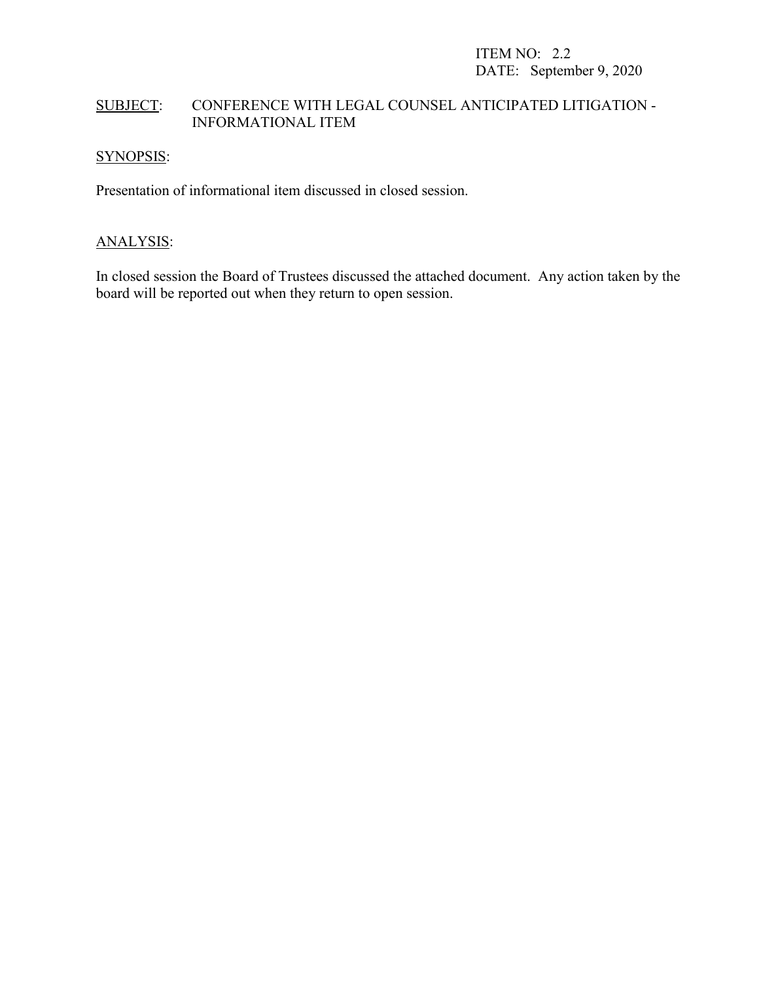# SUBJECT: CONFERENCE WITH LEGAL COUNSEL ANTICIPATED LITIGATION - INFORMATIONAL ITEM

### SYNOPSIS:

Presentation of informational item discussed in closed session.

### ANALYSIS:

In closed session the Board of Trustees discussed the attached document. Any action taken by the board will be reported out when they return to open session.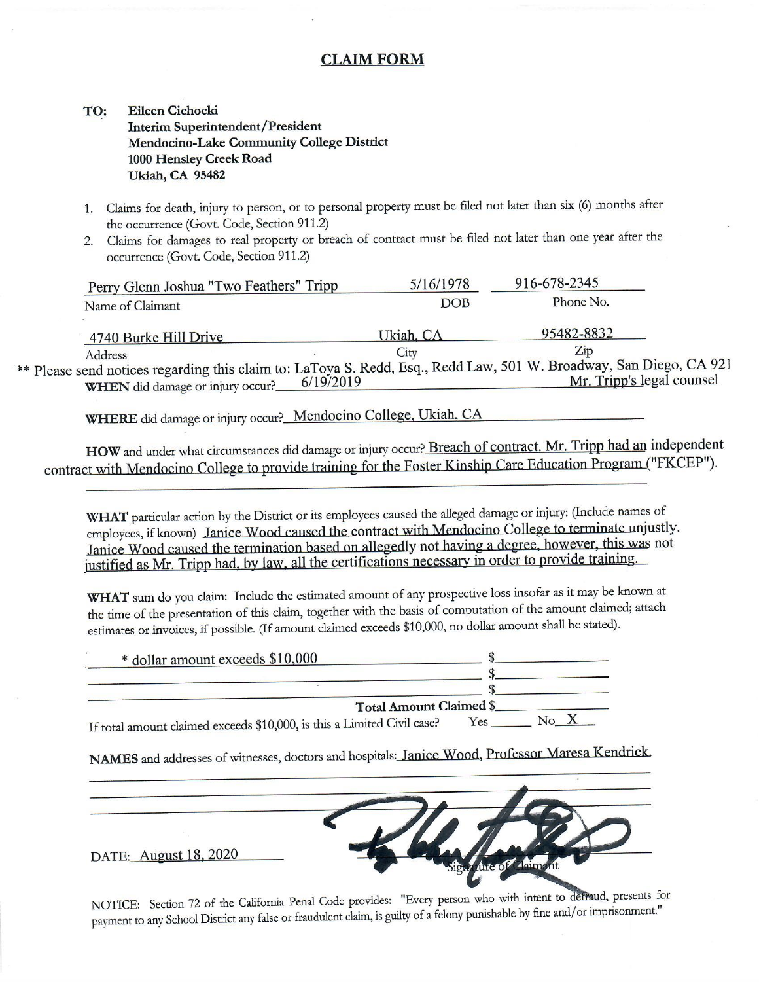### **CLAIM FORM**

#### **Eileen Cichocki** TO: **Interim Superintendent/President** Mendocino-Lake Community College District 1000 Hensley Creek Road **Ukiah, CA 95482**

- 1. Claims for death, injury to person, or to personal property must be filed not later than six (6) months after the occurrence (Govt. Code, Section 911.2)
- 2. Claims for damages to real property or breach of contract must be filed not later than one year after the occurrence (Govt. Code, Section 911.2)

| Perry Glenn Joshua "Two Feathers" Tripp                                                                                                                | 5/16/1978  | 916-678-2345              |
|--------------------------------------------------------------------------------------------------------------------------------------------------------|------------|---------------------------|
| Name of Claimant                                                                                                                                       | <b>DOB</b> | Phone No.                 |
| 4740 Burke Hill Drive                                                                                                                                  | Ukiah, CA  | 95482-8832                |
| Address                                                                                                                                                | City       | Zip                       |
| ** Please send notices regarding this claim to: LaToya S. Redd, Esq., Redd Law, 501 W. Broadway, San Diego, CA 921<br>WHEN did damage or injury occur? | 6/19/2019  | Mr. Tripp's legal counsel |

WHERE did damage or injury occur?\_Mendocino College, Ukiah, CA

HOW and under what circumstances did damage or injury occur? Breach of contract. Mr. Tripp had an independent contract with Mendocino College to provide training for the Foster Kinship Care Education Program ("FKCEP").

WHAT particular action by the District or its employees caused the alleged damage or injury: (Include names of employees, if known) Janice Wood caused the contract with Mendocino College to terminate unjustly. Janice Wood caused the termination based on allegedly not having a degree, however, this was not justified as Mr. Tripp had, by law, all the certifications necessary in order to provide training.

WHAT sum do you claim: Include the estimated amount of any prospective loss insofar as it may be known at the time of the presentation of this claim, together with the basis of computation of the amount claimed; attach estimates or invoices, if possible. (If amount claimed exceeds \$10,000, no dollar amount shall be stated).

| * dollar amount exceeds \$10,000                                        |     |  |
|-------------------------------------------------------------------------|-----|--|
|                                                                         |     |  |
| <b>Total Amount Claimed \$</b>                                          |     |  |
| If total amount claimed exceeds \$10,000, is this a Limited Civil case? | Yes |  |

NAMES and addresses of witnesses, doctors and hospitals: Janice Wood, Professor Maresa Kendrick.



NOTICE: Section 72 of the California Penal Code provides: "Every person who with intent to defraud, presents for payment to any School District any false or fraudulent claim, is guilty of a felony punishable by fine and/or imprisonment."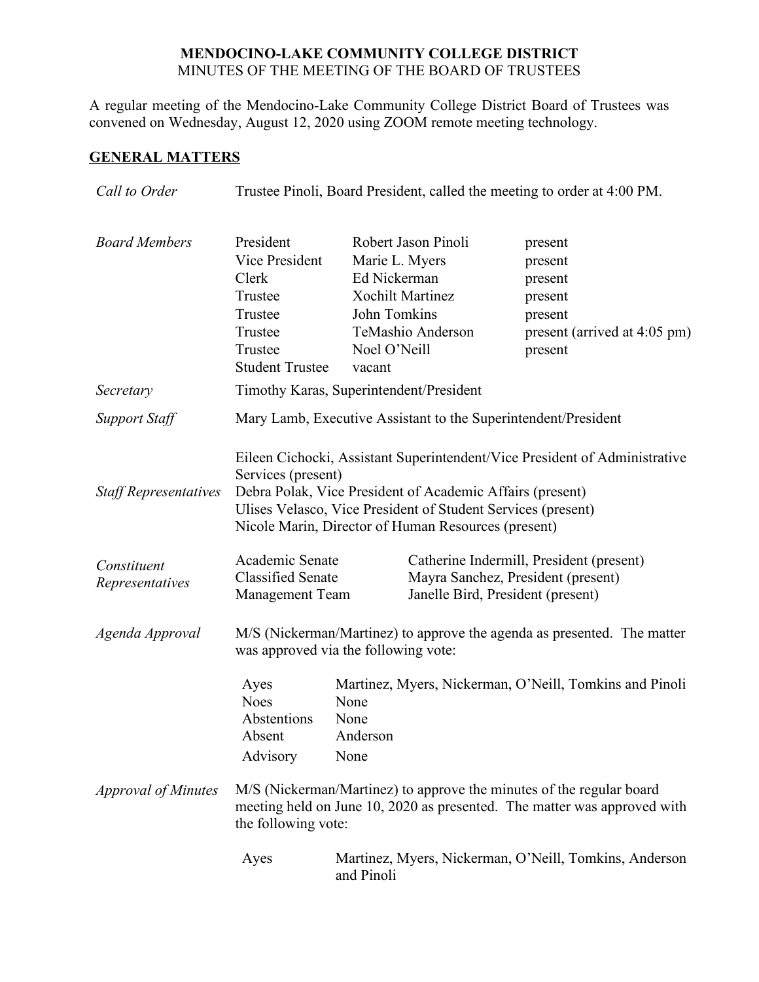### **MENDOCINO-LAKE COMMUNITY COLLEGE DISTRICT** MINUTES OF THE MEETING OF THE BOARD OF TRUSTEES

A regular meeting of the Mendocino-Lake Community College District Board of Trustees was convened on Wednesday, August 12, 2020 using ZOOM remote meeting technology.

# **GENERAL MATTERS**

| Call to Order                               | Trustee Pinoli, Board President, called the meeting to order at 4:00 PM.                                                                                                                                                                                                                                                                            |                                                                          |                                                                     |                                                                                                |
|---------------------------------------------|-----------------------------------------------------------------------------------------------------------------------------------------------------------------------------------------------------------------------------------------------------------------------------------------------------------------------------------------------------|--------------------------------------------------------------------------|---------------------------------------------------------------------|------------------------------------------------------------------------------------------------|
| <b>Board Members</b><br>Secretary           | President<br>Vice President<br>Clerk<br>Trustee<br>Trustee<br>Trustee<br>Trustee<br><b>Student Trustee</b><br>Timothy Karas, Superintendent/President                                                                                                                                                                                               | Marie L. Myers<br>Ed Nickerman<br>John Tomkins<br>Noel O'Neill<br>vacant | Robert Jason Pinoli<br><b>Xochilt Martinez</b><br>TeMashio Anderson | present<br>present<br>present<br>present<br>present<br>present (arrived at 4:05 pm)<br>present |
|                                             |                                                                                                                                                                                                                                                                                                                                                     |                                                                          |                                                                     |                                                                                                |
| <b>Support Staff</b>                        |                                                                                                                                                                                                                                                                                                                                                     |                                                                          | Mary Lamb, Executive Assistant to the Superintendent/President      |                                                                                                |
| <b>Staff Representatives</b><br>Constituent | Eileen Cichocki, Assistant Superintendent/Vice President of Administrative<br>Services (present)<br>Debra Polak, Vice President of Academic Affairs (present)<br>Ulises Velasco, Vice President of Student Services (present)<br>Nicole Marin, Director of Human Resources (present)<br>Academic Senate<br>Catherine Indermill, President (present) |                                                                          |                                                                     |                                                                                                |
| Representatives                             | <b>Classified Senate</b>                                                                                                                                                                                                                                                                                                                            |                                                                          | Mayra Sanchez, President (present)                                  |                                                                                                |
| Agenda Approval                             | Janelle Bird, President (present)<br><b>Management Team</b><br>M/S (Nickerman/Martinez) to approve the agenda as presented. The matter<br>was approved via the following vote:                                                                                                                                                                      |                                                                          |                                                                     |                                                                                                |
|                                             | Ayes<br><b>Noes</b><br>Abstentions<br>Absent<br>Advisory                                                                                                                                                                                                                                                                                            | None<br>None<br>Anderson<br>None                                         |                                                                     | Martinez, Myers, Nickerman, O'Neill, Tomkins and Pinoli                                        |
| <b>Approval of Minutes</b>                  | M/S (Nickerman/Martinez) to approve the minutes of the regular board<br>meeting held on June 10, 2020 as presented. The matter was approved with<br>the following vote:                                                                                                                                                                             |                                                                          |                                                                     |                                                                                                |
|                                             | Ayes                                                                                                                                                                                                                                                                                                                                                | and Pinoli                                                               |                                                                     | Martinez, Myers, Nickerman, O'Neill, Tomkins, Anderson                                         |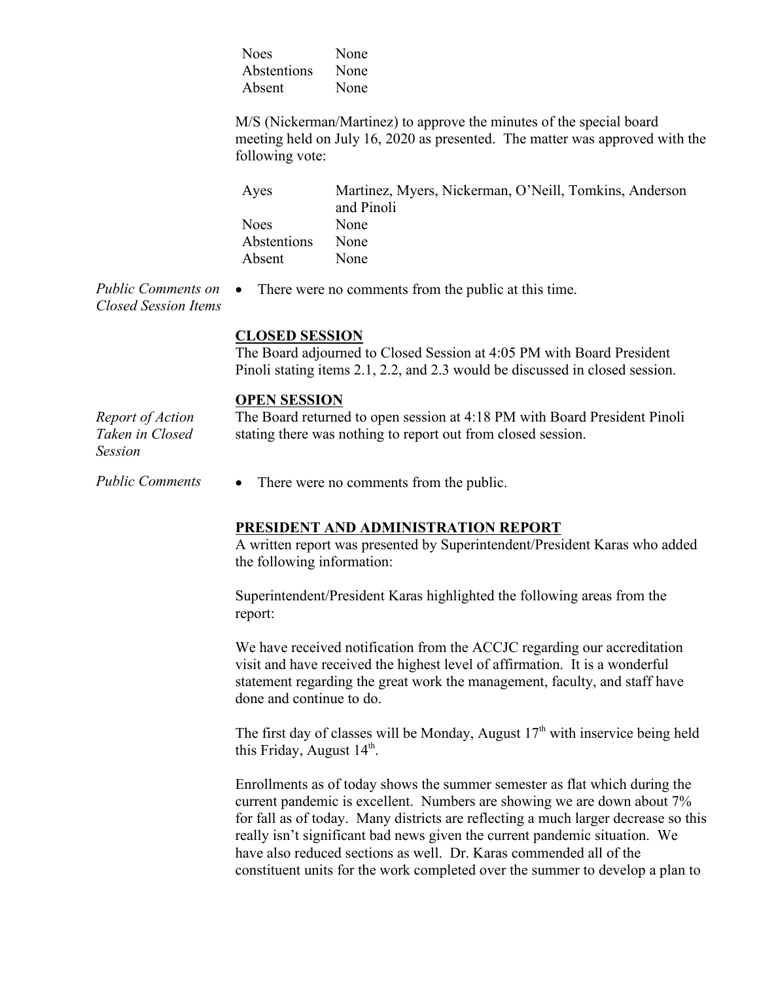| <b>Noes</b> | None |
|-------------|------|
| Abstentions | None |
| Absent      | None |

M/S (Nickerman/Martinez) to approve the minutes of the special board meeting held on July 16, 2020 as presented. The matter was approved with the following vote:

| Ayes        | Martinez, Myers, Nickerman, O'Neill, Tomkins, Anderson |
|-------------|--------------------------------------------------------|
|             | and Pinoli                                             |
| <b>Noes</b> | None                                                   |
| Abstentions | None                                                   |
| Absent      | <b>None</b>                                            |

*Public Comments on Closed Session Items* There were no comments from the public at this time.

#### **CLOSED SESSION**

The Board adjourned to Closed Session at 4:05 PM with Board President Pinoli stating items 2.1, 2.2, and 2.3 would be discussed in closed session.

#### **OPEN SESSION**

*Report of Action Taken in Closed Session* The Board returned to open session at 4:18 PM with Board President Pinoli stating there was nothing to report out from closed session.

*Public Comments* • There were no comments from the public.

### **PRESIDENT AND ADMINISTRATION REPORT**

A written report was presented by Superintendent/President Karas who added the following information:

Superintendent/President Karas highlighted the following areas from the report:

We have received notification from the ACCJC regarding our accreditation visit and have received the highest level of affirmation. It is a wonderful statement regarding the great work the management, faculty, and staff have done and continue to do.

The first day of classes will be Monday, August  $17<sup>th</sup>$  with inservice being held this Friday, August  $14<sup>th</sup>$ .

Enrollments as of today shows the summer semester as flat which during the current pandemic is excellent. Numbers are showing we are down about 7% for fall as of today. Many districts are reflecting a much larger decrease so this really isn't significant bad news given the current pandemic situation. We have also reduced sections as well. Dr. Karas commended all of the constituent units for the work completed over the summer to develop a plan to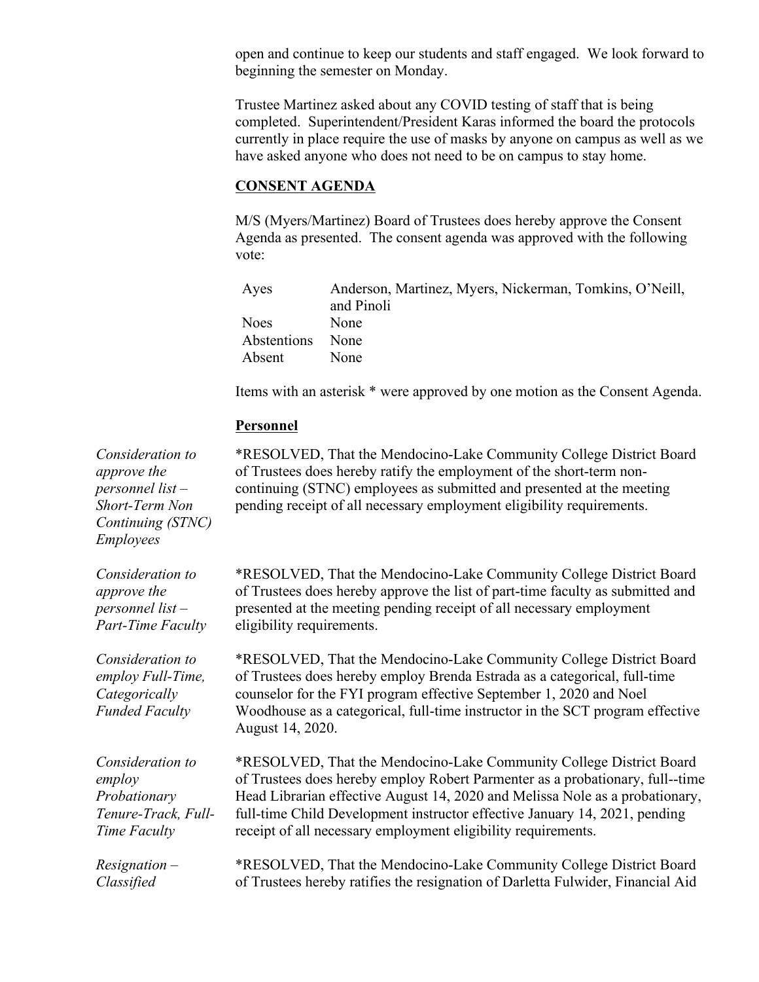open and continue to keep our students and staff engaged. We look forward to beginning the semester on Monday.

Trustee Martinez asked about any COVID testing of staff that is being completed. Superintendent/President Karas informed the board the protocols currently in place require the use of masks by anyone on campus as well as we have asked anyone who does not need to be on campus to stay home.

#### **CONSENT AGENDA**

M/S (Myers/Martinez) Board of Trustees does hereby approve the Consent Agenda as presented. The consent agenda was approved with the following vote:

| Ayes        | Anderson, Martinez, Myers, Nickerman, Tomkins, O'Neill, |
|-------------|---------------------------------------------------------|
|             | and Pinoli                                              |
| <b>Noes</b> | None                                                    |
| Abstentions | None                                                    |
| Absent      | None                                                    |

Items with an asterisk \* were approved by one motion as the Consent Agenda.

#### **Personnel**

*Consideration to approve the personnel list – Short-Term Non Continuing (STNC) Employees*

*Consideration to approve the personnel list – Part-Time Faculty*

*Consideration to employ Full-Time, Categorically Funded Faculty*

*Consideration to employ Probationary Tenure-Track, Full-Time Faculty*

*Resignation – Classified*

\*RESOLVED, That the Mendocino-Lake Community College District Board of Trustees does hereby ratify the employment of the short-term noncontinuing (STNC) employees as submitted and presented at the meeting pending receipt of all necessary employment eligibility requirements.

\*RESOLVED, That the Mendocino-Lake Community College District Board of Trustees does hereby approve the list of part-time faculty as submitted and presented at the meeting pending receipt of all necessary employment eligibility requirements.

\*RESOLVED, That the Mendocino-Lake Community College District Board of Trustees does hereby employ Brenda Estrada as a categorical, full-time counselor for the FYI program effective September 1, 2020 and Noel Woodhouse as a categorical, full-time instructor in the SCT program effective August 14, 2020.

\*RESOLVED, That the Mendocino-Lake Community College District Board of Trustees does hereby employ Robert Parmenter as a probationary, full--time Head Librarian effective August 14, 2020 and Melissa Nole as a probationary, full-time Child Development instructor effective January 14, 2021, pending receipt of all necessary employment eligibility requirements.

\*RESOLVED, That the Mendocino-Lake Community College District Board of Trustees hereby ratifies the resignation of Darletta Fulwider, Financial Aid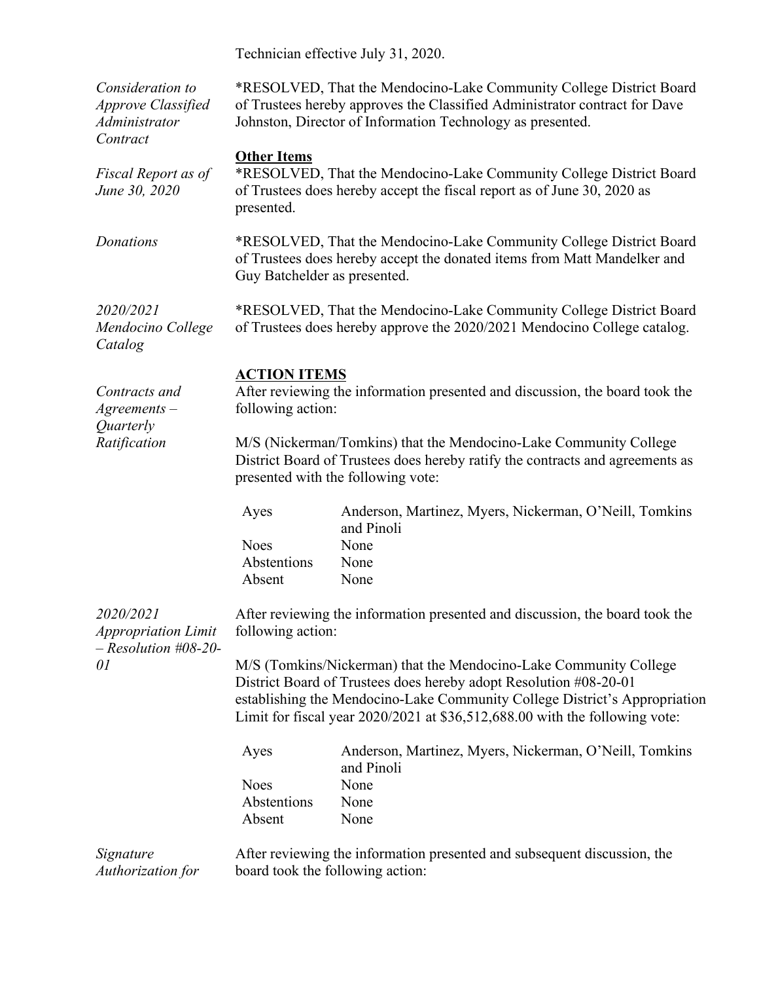Technician effective July 31, 2020.

| Consideration to<br><b>Approve Classified</b><br>Administrator<br>Contract | *RESOLVED, That the Mendocino-Lake Community College District Board<br>of Trustees hereby approves the Classified Administrator contract for Dave<br>Johnston, Director of Information Technology as presented.                                                                                     |                                                                                                                                                 |  |  |
|----------------------------------------------------------------------------|-----------------------------------------------------------------------------------------------------------------------------------------------------------------------------------------------------------------------------------------------------------------------------------------------------|-------------------------------------------------------------------------------------------------------------------------------------------------|--|--|
| Fiscal Report as of<br>June 30, 2020                                       | <b>Other Items</b><br>presented.                                                                                                                                                                                                                                                                    | *RESOLVED, That the Mendocino-Lake Community College District Board<br>of Trustees does hereby accept the fiscal report as of June 30, 2020 as  |  |  |
| Donations                                                                  | *RESOLVED, That the Mendocino-Lake Community College District Board<br>of Trustees does hereby accept the donated items from Matt Mandelker and<br>Guy Batchelder as presented.                                                                                                                     |                                                                                                                                                 |  |  |
| 2020/2021<br>Mendocino College<br>Catalog                                  |                                                                                                                                                                                                                                                                                                     | *RESOLVED, That the Mendocino-Lake Community College District Board<br>of Trustees does hereby approve the 2020/2021 Mendocino College catalog. |  |  |
| Contracts and<br>$A$ greements $-$<br>Quarterly                            | <b>ACTION ITEMS</b><br>following action:                                                                                                                                                                                                                                                            | After reviewing the information presented and discussion, the board took the                                                                    |  |  |
| Ratification                                                               | M/S (Nickerman/Tomkins) that the Mendocino-Lake Community College<br>District Board of Trustees does hereby ratify the contracts and agreements as<br>presented with the following vote:                                                                                                            |                                                                                                                                                 |  |  |
|                                                                            | Ayes                                                                                                                                                                                                                                                                                                | Anderson, Martinez, Myers, Nickerman, O'Neill, Tomkins<br>and Pinoli                                                                            |  |  |
|                                                                            | <b>Noes</b>                                                                                                                                                                                                                                                                                         | None                                                                                                                                            |  |  |
|                                                                            | Abstentions                                                                                                                                                                                                                                                                                         | None                                                                                                                                            |  |  |
|                                                                            | Absent                                                                                                                                                                                                                                                                                              | None                                                                                                                                            |  |  |
| 2020/2021<br><b>Appropriation Limit</b><br>$-$ Resolution #08-20-<br>01    | After reviewing the information presented and discussion, the board took the<br>following action:                                                                                                                                                                                                   |                                                                                                                                                 |  |  |
|                                                                            | M/S (Tomkins/Nickerman) that the Mendocino-Lake Community College<br>District Board of Trustees does hereby adopt Resolution #08-20-01<br>establishing the Mendocino-Lake Community College District's Appropriation<br>Limit for fiscal year 2020/2021 at \$36,512,688.00 with the following vote: |                                                                                                                                                 |  |  |
|                                                                            | Ayes                                                                                                                                                                                                                                                                                                | Anderson, Martinez, Myers, Nickerman, O'Neill, Tomkins<br>and Pinoli                                                                            |  |  |
|                                                                            | <b>Noes</b>                                                                                                                                                                                                                                                                                         | None                                                                                                                                            |  |  |
|                                                                            | Abstentions                                                                                                                                                                                                                                                                                         | None                                                                                                                                            |  |  |
|                                                                            | Absent                                                                                                                                                                                                                                                                                              | None                                                                                                                                            |  |  |
| Signature<br>Authorization for                                             |                                                                                                                                                                                                                                                                                                     | After reviewing the information presented and subsequent discussion, the<br>board took the following action:                                    |  |  |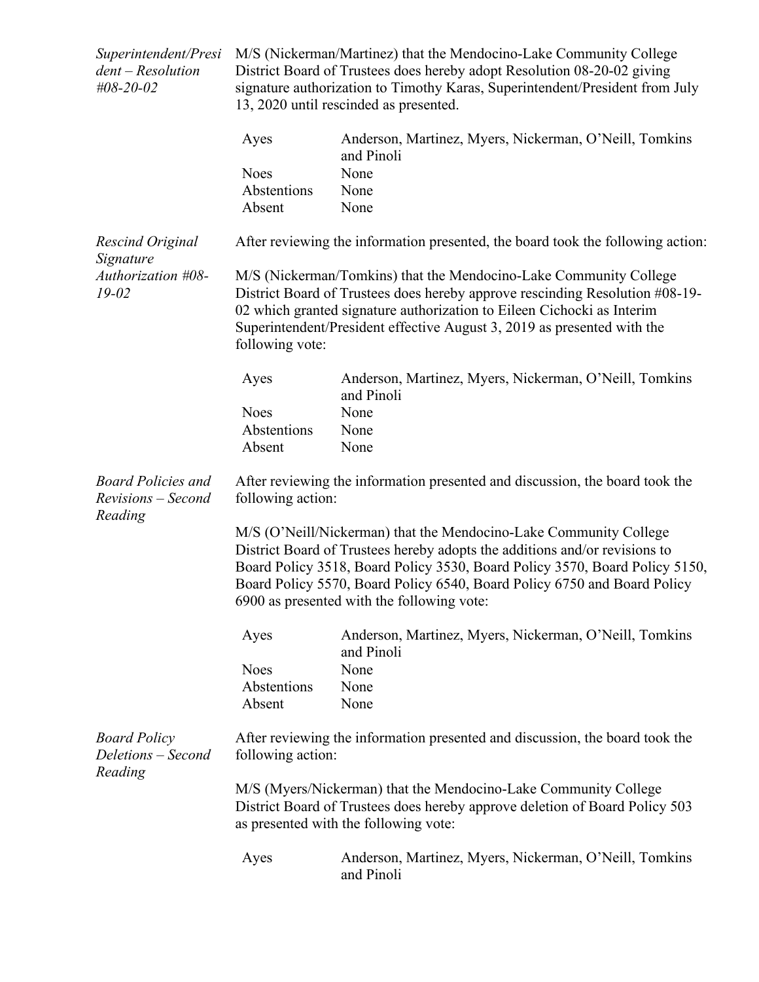| Superintendent/Presi<br>$dent - Resolution$<br>#08-20-02   | M/S (Nickerman/Martinez) that the Mendocino-Lake Community College<br>District Board of Trustees does hereby adopt Resolution 08-20-02 giving<br>signature authorization to Timothy Karas, Superintendent/President from July<br>13, 2020 until rescinded as presented.                                                                                  |                                                                                 |  |  |
|------------------------------------------------------------|----------------------------------------------------------------------------------------------------------------------------------------------------------------------------------------------------------------------------------------------------------------------------------------------------------------------------------------------------------|---------------------------------------------------------------------------------|--|--|
|                                                            | Ayes                                                                                                                                                                                                                                                                                                                                                     | Anderson, Martinez, Myers, Nickerman, O'Neill, Tomkins<br>and Pinoli            |  |  |
|                                                            | <b>Noes</b>                                                                                                                                                                                                                                                                                                                                              | None                                                                            |  |  |
|                                                            | Abstentions                                                                                                                                                                                                                                                                                                                                              | None                                                                            |  |  |
|                                                            | Absent                                                                                                                                                                                                                                                                                                                                                   | None                                                                            |  |  |
| Rescind Original<br>Signature                              |                                                                                                                                                                                                                                                                                                                                                          | After reviewing the information presented, the board took the following action: |  |  |
| Authorization #08-<br>$19 - 02$                            | M/S (Nickerman/Tomkins) that the Mendocino-Lake Community College<br>District Board of Trustees does hereby approve rescinding Resolution #08-19-<br>02 which granted signature authorization to Eileen Cichocki as Interim<br>Superintendent/President effective August 3, 2019 as presented with the<br>following vote:                                |                                                                                 |  |  |
|                                                            | Ayes                                                                                                                                                                                                                                                                                                                                                     | Anderson, Martinez, Myers, Nickerman, O'Neill, Tomkins<br>and Pinoli            |  |  |
|                                                            | <b>Noes</b>                                                                                                                                                                                                                                                                                                                                              | None                                                                            |  |  |
|                                                            | Abstentions                                                                                                                                                                                                                                                                                                                                              | None                                                                            |  |  |
|                                                            | Absent                                                                                                                                                                                                                                                                                                                                                   | None                                                                            |  |  |
| <b>Board Policies and</b><br>Revisions - Second<br>Reading | After reviewing the information presented and discussion, the board took the<br>following action:                                                                                                                                                                                                                                                        |                                                                                 |  |  |
|                                                            | M/S (O'Neill/Nickerman) that the Mendocino-Lake Community College<br>District Board of Trustees hereby adopts the additions and/or revisions to<br>Board Policy 3518, Board Policy 3530, Board Policy 3570, Board Policy 5150,<br>Board Policy 5570, Board Policy 6540, Board Policy 6750 and Board Policy<br>6900 as presented with the following vote: |                                                                                 |  |  |
|                                                            | Ayes                                                                                                                                                                                                                                                                                                                                                     | Anderson, Martinez, Myers, Nickerman, O'Neill, Tomkins<br>and Pinoli            |  |  |
|                                                            | <b>Noes</b>                                                                                                                                                                                                                                                                                                                                              | None                                                                            |  |  |
|                                                            | Abstentions                                                                                                                                                                                                                                                                                                                                              | None                                                                            |  |  |
|                                                            | Absent                                                                                                                                                                                                                                                                                                                                                   | None                                                                            |  |  |
| <b>Board Policy</b><br>Deletions - Second<br>Reading       | After reviewing the information presented and discussion, the board took the<br>following action:                                                                                                                                                                                                                                                        |                                                                                 |  |  |
|                                                            | M/S (Myers/Nickerman) that the Mendocino-Lake Community College<br>District Board of Trustees does hereby approve deletion of Board Policy 503<br>as presented with the following vote:                                                                                                                                                                  |                                                                                 |  |  |
|                                                            | Ayes                                                                                                                                                                                                                                                                                                                                                     | Anderson, Martinez, Myers, Nickerman, O'Neill, Tomkins<br>and Pinoli            |  |  |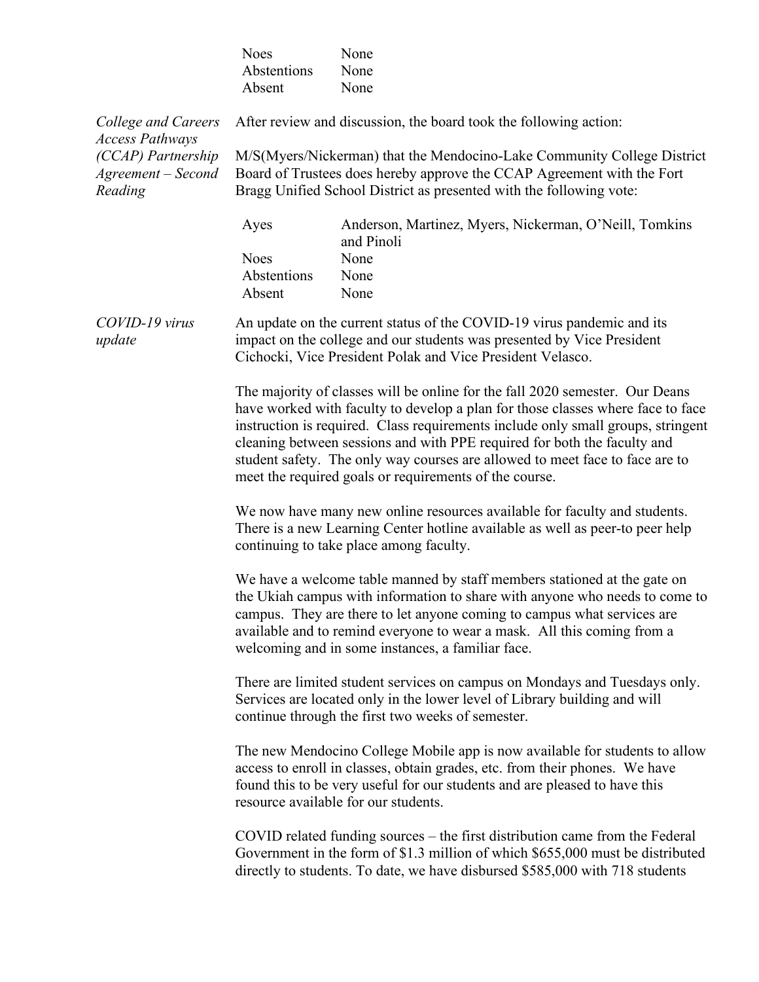|                                                     | <b>Noes</b><br>Abstentions<br>Absent                                                                                                                                                                                                                                                                                                                                                                                                                                      | None<br>None<br>None                                                                                                                                                                                                                           |  |  |
|-----------------------------------------------------|---------------------------------------------------------------------------------------------------------------------------------------------------------------------------------------------------------------------------------------------------------------------------------------------------------------------------------------------------------------------------------------------------------------------------------------------------------------------------|------------------------------------------------------------------------------------------------------------------------------------------------------------------------------------------------------------------------------------------------|--|--|
| College and Careers<br><b>Access Pathways</b>       |                                                                                                                                                                                                                                                                                                                                                                                                                                                                           | After review and discussion, the board took the following action:                                                                                                                                                                              |  |  |
| (CCAP) Partnership<br>Agreement - Second<br>Reading |                                                                                                                                                                                                                                                                                                                                                                                                                                                                           | M/S(Myers/Nickerman) that the Mendocino-Lake Community College District<br>Board of Trustees does hereby approve the CCAP Agreement with the Fort<br>Bragg Unified School District as presented with the following vote:                       |  |  |
|                                                     | Ayes                                                                                                                                                                                                                                                                                                                                                                                                                                                                      | Anderson, Martinez, Myers, Nickerman, O'Neill, Tomkins<br>and Pinoli                                                                                                                                                                           |  |  |
|                                                     | <b>Noes</b><br>Abstentions<br>Absent                                                                                                                                                                                                                                                                                                                                                                                                                                      | None<br>None<br>None                                                                                                                                                                                                                           |  |  |
| COVID-19 virus<br>update                            | An update on the current status of the COVID-19 virus pandemic and its<br>impact on the college and our students was presented by Vice President<br>Cichocki, Vice President Polak and Vice President Velasco.                                                                                                                                                                                                                                                            |                                                                                                                                                                                                                                                |  |  |
|                                                     | The majority of classes will be online for the fall 2020 semester. Our Deans<br>have worked with faculty to develop a plan for those classes where face to face<br>instruction is required. Class requirements include only small groups, stringent<br>cleaning between sessions and with PPE required for both the faculty and<br>student safety. The only way courses are allowed to meet face to face are to<br>meet the required goals or requirements of the course. |                                                                                                                                                                                                                                                |  |  |
|                                                     | We now have many new online resources available for faculty and students.<br>There is a new Learning Center hotline available as well as peer-to peer help<br>continuing to take place among faculty.                                                                                                                                                                                                                                                                     |                                                                                                                                                                                                                                                |  |  |
|                                                     | We have a welcome table manned by staff members stationed at the gate on<br>the Ukiah campus with information to share with anyone who needs to come to<br>campus. They are there to let anyone coming to campus what services are<br>available and to remind everyone to wear a mask. All this coming from a<br>welcoming and in some instances, a familiar face.                                                                                                        |                                                                                                                                                                                                                                                |  |  |
|                                                     | There are limited student services on campus on Mondays and Tuesdays only.<br>Services are located only in the lower level of Library building and will<br>continue through the first two weeks of semester.                                                                                                                                                                                                                                                              |                                                                                                                                                                                                                                                |  |  |
|                                                     | The new Mendocino College Mobile app is now available for students to allow<br>access to enroll in classes, obtain grades, etc. from their phones. We have<br>found this to be very useful for our students and are pleased to have this<br>resource available for our students.                                                                                                                                                                                          |                                                                                                                                                                                                                                                |  |  |
|                                                     |                                                                                                                                                                                                                                                                                                                                                                                                                                                                           | COVID related funding sources – the first distribution came from the Federal<br>Government in the form of \$1.3 million of which \$655,000 must be distributed<br>directly to students. To date, we have disbursed \$585,000 with 718 students |  |  |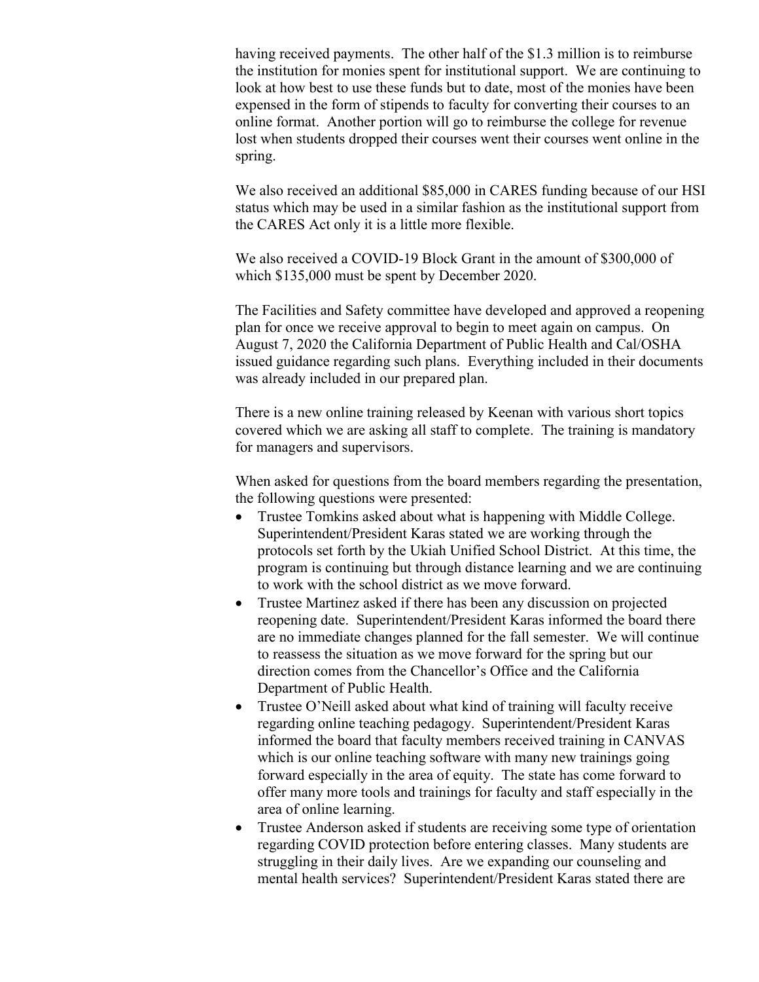having received payments. The other half of the \$1.3 million is to reimburse the institution for monies spent for institutional support. We are continuing to look at how best to use these funds but to date, most of the monies have been expensed in the form of stipends to faculty for converting their courses to an online format. Another portion will go to reimburse the college for revenue lost when students dropped their courses went their courses went online in the spring.

We also received an additional \$85,000 in CARES funding because of our HSI status which may be used in a similar fashion as the institutional support from the CARES Act only it is a little more flexible.

We also received a COVID-19 Block Grant in the amount of \$300,000 of which \$135,000 must be spent by December 2020.

The Facilities and Safety committee have developed and approved a reopening plan for once we receive approval to begin to meet again on campus. On August 7, 2020 the California Department of Public Health and Cal/OSHA issued guidance regarding such plans. Everything included in their documents was already included in our prepared plan.

There is a new online training released by Keenan with various short topics covered which we are asking all staff to complete. The training is mandatory for managers and supervisors.

When asked for questions from the board members regarding the presentation, the following questions were presented:

- Trustee Tomkins asked about what is happening with Middle College. Superintendent/President Karas stated we are working through the protocols set forth by the Ukiah Unified School District. At this time, the program is continuing but through distance learning and we are continuing to work with the school district as we move forward.
- Trustee Martinez asked if there has been any discussion on projected reopening date. Superintendent/President Karas informed the board there are no immediate changes planned for the fall semester. We will continue to reassess the situation as we move forward for the spring but our direction comes from the Chancellor's Office and the California Department of Public Health.
- Trustee O'Neill asked about what kind of training will faculty receive regarding online teaching pedagogy. Superintendent/President Karas informed the board that faculty members received training in CANVAS which is our online teaching software with many new trainings going forward especially in the area of equity. The state has come forward to offer many more tools and trainings for faculty and staff especially in the area of online learning.
- Trustee Anderson asked if students are receiving some type of orientation regarding COVID protection before entering classes. Many students are struggling in their daily lives. Are we expanding our counseling and mental health services? Superintendent/President Karas stated there are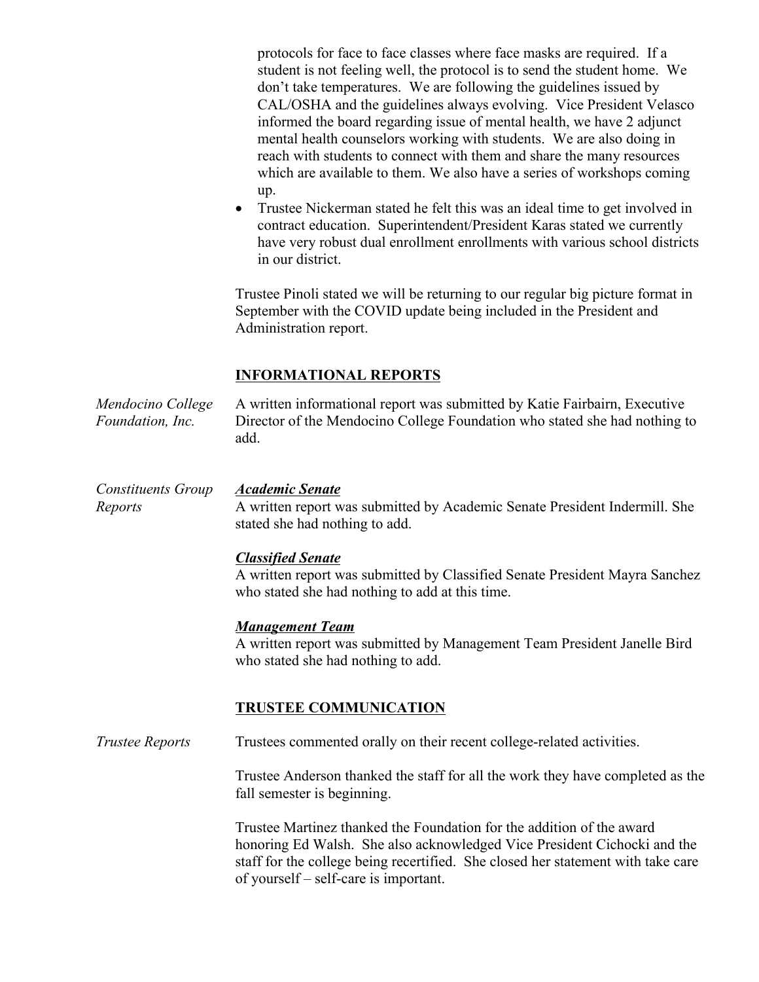protocols for face to face classes where face masks are required. If a student is not feeling well, the protocol is to send the student home. We don't take temperatures. We are following the guidelines issued by CAL/OSHA and the guidelines always evolving. Vice President Velasco informed the board regarding issue of mental health, we have 2 adjunct mental health counselors working with students. We are also doing in reach with students to connect with them and share the many resources which are available to them. We also have a series of workshops coming up.

• Trustee Nickerman stated he felt this was an ideal time to get involved in contract education. Superintendent/President Karas stated we currently have very robust dual enrollment enrollments with various school districts in our district.

Trustee Pinoli stated we will be returning to our regular big picture format in September with the COVID update being included in the President and Administration report.

### **INFORMATIONAL REPORTS**

*Mendocino College Foundation, Inc.* A written informational report was submitted by Katie Fairbairn, Executive Director of the Mendocino College Foundation who stated she had nothing to add.

#### *Constituents Group Academic Senate*

*Reports*

A written report was submitted by Academic Senate President Indermill. She stated she had nothing to add.

#### *Classified Senate*

A written report was submitted by Classified Senate President Mayra Sanchez who stated she had nothing to add at this time.

#### *Management Team*

A written report was submitted by Management Team President Janelle Bird who stated she had nothing to add.

#### **TRUSTEE COMMUNICATION**

*Trustee Reports* Trustees commented orally on their recent college-related activities.

Trustee Anderson thanked the staff for all the work they have completed as the fall semester is beginning.

Trustee Martinez thanked the Foundation for the addition of the award honoring Ed Walsh. She also acknowledged Vice President Cichocki and the staff for the college being recertified. She closed her statement with take care of yourself – self-care is important.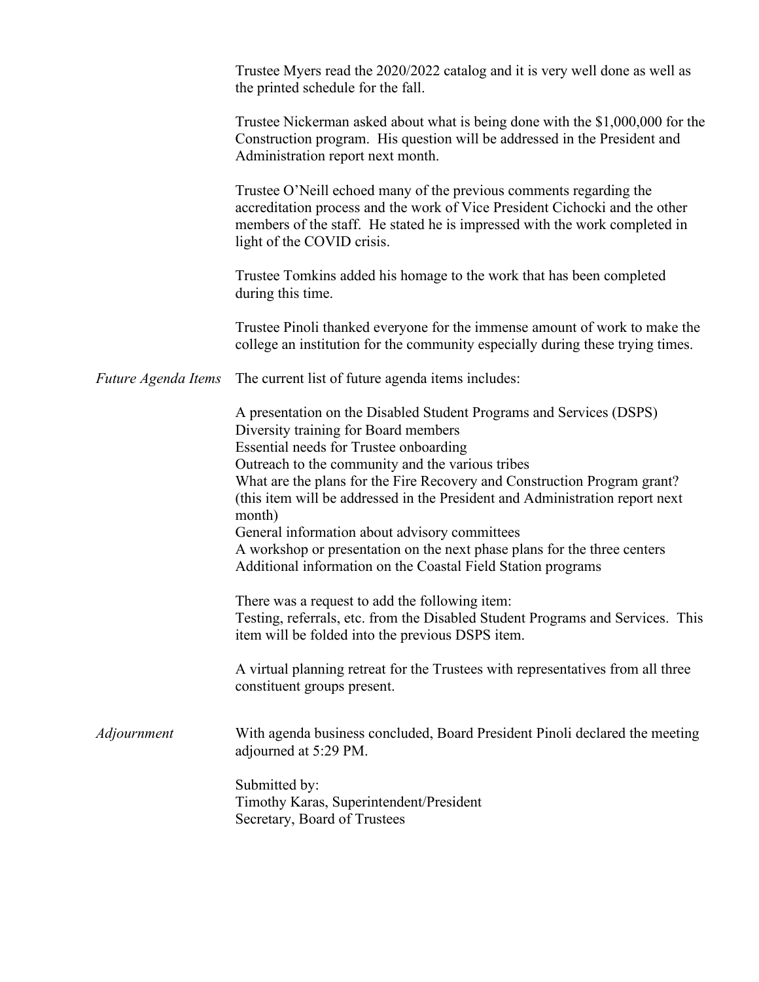|                     | Trustee Myers read the 2020/2022 catalog and it is very well done as well as<br>the printed schedule for the fall.                                                                                                                                                                                                                                                                                                               |
|---------------------|----------------------------------------------------------------------------------------------------------------------------------------------------------------------------------------------------------------------------------------------------------------------------------------------------------------------------------------------------------------------------------------------------------------------------------|
|                     | Trustee Nickerman asked about what is being done with the \$1,000,000 for the<br>Construction program. His question will be addressed in the President and<br>Administration report next month.                                                                                                                                                                                                                                  |
|                     | Trustee O'Neill echoed many of the previous comments regarding the<br>accreditation process and the work of Vice President Cichocki and the other<br>members of the staff. He stated he is impressed with the work completed in<br>light of the COVID crisis.                                                                                                                                                                    |
|                     | Trustee Tomkins added his homage to the work that has been completed<br>during this time.                                                                                                                                                                                                                                                                                                                                        |
|                     | Trustee Pinoli thanked everyone for the immense amount of work to make the<br>college an institution for the community especially during these trying times.                                                                                                                                                                                                                                                                     |
| Future Agenda Items | The current list of future agenda items includes:                                                                                                                                                                                                                                                                                                                                                                                |
|                     | A presentation on the Disabled Student Programs and Services (DSPS)<br>Diversity training for Board members<br>Essential needs for Trustee onboarding<br>Outreach to the community and the various tribes<br>What are the plans for the Fire Recovery and Construction Program grant?<br>(this item will be addressed in the President and Administration report next<br>month)<br>General information about advisory committees |
|                     | A workshop or presentation on the next phase plans for the three centers<br>Additional information on the Coastal Field Station programs                                                                                                                                                                                                                                                                                         |
|                     | There was a request to add the following item:<br>Testing, referrals, etc. from the Disabled Student Programs and Services. This<br>item will be folded into the previous DSPS item.                                                                                                                                                                                                                                             |
|                     | A virtual planning retreat for the Trustees with representatives from all three<br>constituent groups present.                                                                                                                                                                                                                                                                                                                   |
| Adjournment         | With agenda business concluded, Board President Pinoli declared the meeting<br>adjourned at 5:29 PM.                                                                                                                                                                                                                                                                                                                             |
|                     | Submitted by:<br>Timothy Karas, Superintendent/President<br>Secretary, Board of Trustees                                                                                                                                                                                                                                                                                                                                         |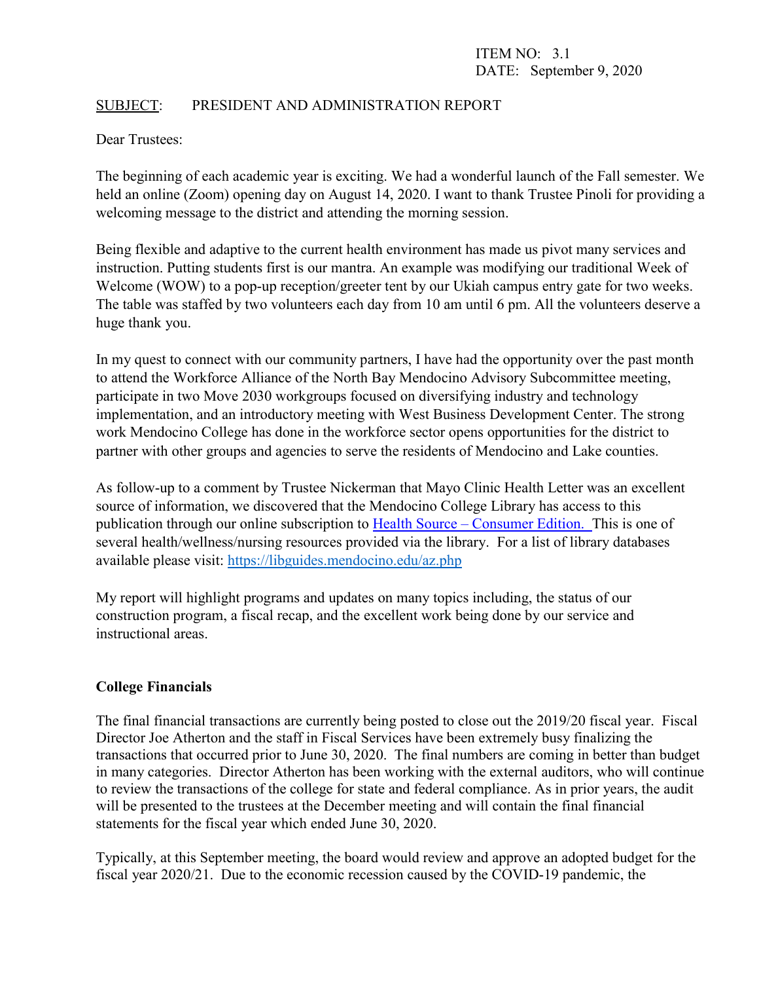### SUBJECT: PRESIDENT AND ADMINISTRATION REPORT

Dear Trustees:

The beginning of each academic year is exciting. We had a wonderful launch of the Fall semester. We held an online (Zoom) opening day on August 14, 2020. I want to thank Trustee Pinoli for providing a welcoming message to the district and attending the morning session.

Being flexible and adaptive to the current health environment has made us pivot many services and instruction. Putting students first is our mantra. An example was modifying our traditional Week of Welcome (WOW) to a pop-up reception/greeter tent by our Ukiah campus entry gate for two weeks. The table was staffed by two volunteers each day from 10 am until 6 pm. All the volunteers deserve a huge thank you.

In my quest to connect with our community partners, I have had the opportunity over the past month to attend the Workforce Alliance of the North Bay Mendocino Advisory Subcommittee meeting, participate in two Move 2030 workgroups focused on diversifying industry and technology implementation, and an introductory meeting with West Business Development Center. The strong work Mendocino College has done in the workforce sector opens opportunities for the district to partner with other groups and agencies to serve the residents of Mendocino and Lake counties.

As follow-up to a comment by Trustee Nickerman that Mayo Clinic Health Letter was an excellent source of information, we discovered that the Mendocino College Library has access to this publication through our online subscription to Health Source – [Consumer Edition. T](https://mendocino.idm.oclc.org/login?url=http://search.ebscohost.com/login.aspx?authtype=ip,url&profile=ehost&defaultdb=hxh)his is one of several health/wellness/nursing resources provided via the library. For a list of library databases available please visit:<https://libguides.mendocino.edu/az.php>

My report will highlight programs and updates on many topics including, the status of our construction program, a fiscal recap, and the excellent work being done by our service and instructional areas.

### **College Financials**

The final financial transactions are currently being posted to close out the 2019/20 fiscal year. Fiscal Director Joe Atherton and the staff in Fiscal Services have been extremely busy finalizing the transactions that occurred prior to June 30, 2020. The final numbers are coming in better than budget in many categories. Director Atherton has been working with the external auditors, who will continue to review the transactions of the college for state and federal compliance. As in prior years, the audit will be presented to the trustees at the December meeting and will contain the final financial statements for the fiscal year which ended June 30, 2020.

Typically, at this September meeting, the board would review and approve an adopted budget for the fiscal year 2020/21. Due to the economic recession caused by the COVID-19 pandemic, the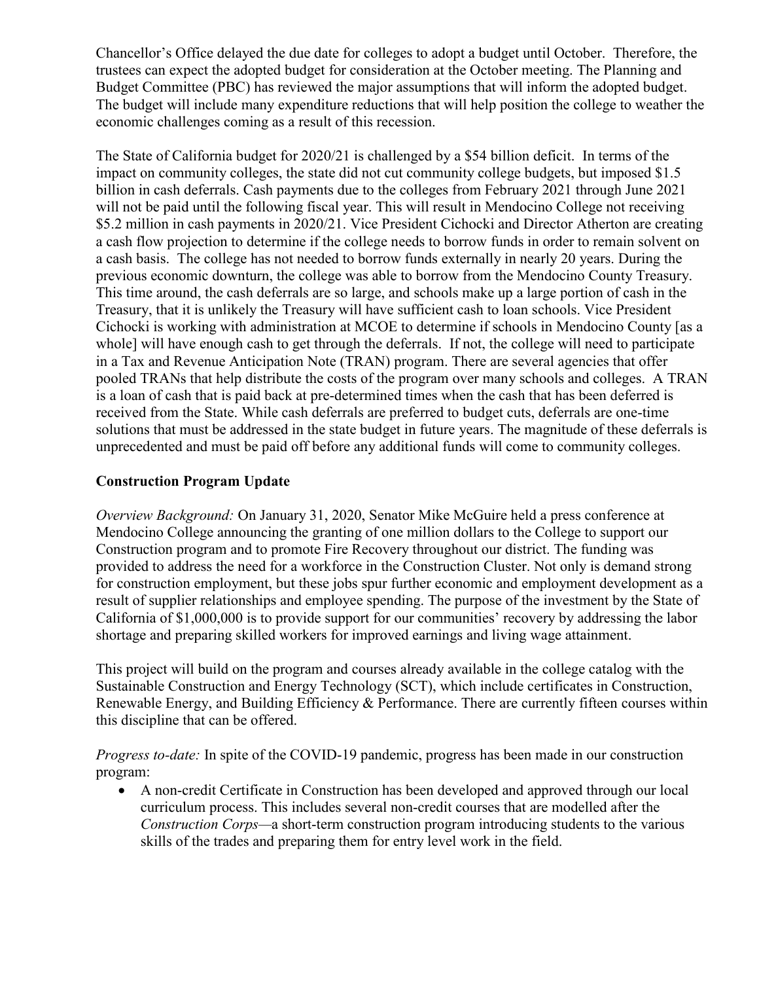Chancellor's Office delayed the due date for colleges to adopt a budget until October. Therefore, the trustees can expect the adopted budget for consideration at the October meeting. The Planning and Budget Committee (PBC) has reviewed the major assumptions that will inform the adopted budget. The budget will include many expenditure reductions that will help position the college to weather the economic challenges coming as a result of this recession.

The State of California budget for 2020/21 is challenged by a \$54 billion deficit. In terms of the impact on community colleges, the state did not cut community college budgets, but imposed \$1.5 billion in cash deferrals. Cash payments due to the colleges from February 2021 through June 2021 will not be paid until the following fiscal year. This will result in Mendocino College not receiving \$5.2 million in cash payments in 2020/21. Vice President Cichocki and Director Atherton are creating a cash flow projection to determine if the college needs to borrow funds in order to remain solvent on a cash basis. The college has not needed to borrow funds externally in nearly 20 years. During the previous economic downturn, the college was able to borrow from the Mendocino County Treasury. This time around, the cash deferrals are so large, and schools make up a large portion of cash in the Treasury, that it is unlikely the Treasury will have sufficient cash to loan schools. Vice President Cichocki is working with administration at MCOE to determine if schools in Mendocino County [as a whole] will have enough cash to get through the deferrals. If not, the college will need to participate in a Tax and Revenue Anticipation Note (TRAN) program. There are several agencies that offer pooled TRANs that help distribute the costs of the program over many schools and colleges. A TRAN is a loan of cash that is paid back at pre-determined times when the cash that has been deferred is received from the State. While cash deferrals are preferred to budget cuts, deferrals are one-time solutions that must be addressed in the state budget in future years. The magnitude of these deferrals is unprecedented and must be paid off before any additional funds will come to community colleges.

# **Construction Program Update**

*Overview Background:* On January 31, 2020, Senator Mike McGuire held a press conference at Mendocino College announcing the granting of one million dollars to the College to support our Construction program and to promote Fire Recovery throughout our district. The funding was provided to address the need for a workforce in the Construction Cluster. Not only is demand strong for construction employment, but these jobs spur further economic and employment development as a result of supplier relationships and employee spending. The purpose of the investment by the State of California of \$1,000,000 is to provide support for our communities' recovery by addressing the labor shortage and preparing skilled workers for improved earnings and living wage attainment.

This project will build on the program and courses already available in the college catalog with the Sustainable Construction and Energy Technology (SCT), which include certificates in Construction, Renewable Energy, and Building Efficiency & Performance. There are currently fifteen courses within this discipline that can be offered.

*Progress to-date:* In spite of the COVID-19 pandemic, progress has been made in our construction program:

• A non-credit Certificate in Construction has been developed and approved through our local curriculum process. This includes several non-credit courses that are modelled after the *Construction Corps—*a short-term construction program introducing students to the various skills of the trades and preparing them for entry level work in the field.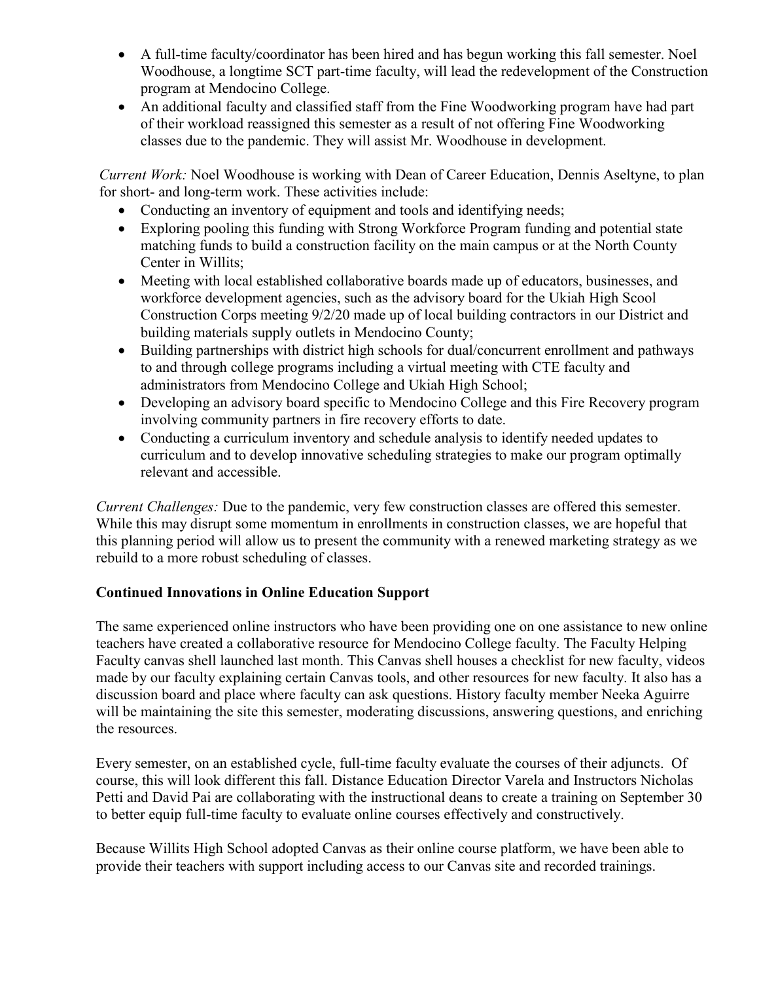- A full-time faculty/coordinator has been hired and has begun working this fall semester. Noel Woodhouse, a longtime SCT part-time faculty, will lead the redevelopment of the Construction program at Mendocino College.
- An additional faculty and classified staff from the Fine Woodworking program have had part of their workload reassigned this semester as a result of not offering Fine Woodworking classes due to the pandemic. They will assist Mr. Woodhouse in development.

*Current Work:* Noel Woodhouse is working with Dean of Career Education, Dennis Aseltyne, to plan for short- and long-term work. These activities include:

- Conducting an inventory of equipment and tools and identifying needs;
- Exploring pooling this funding with Strong Workforce Program funding and potential state matching funds to build a construction facility on the main campus or at the North County Center in Willits;
- Meeting with local established collaborative boards made up of educators, businesses, and workforce development agencies, such as the advisory board for the Ukiah High Scool Construction Corps meeting 9/2/20 made up of local building contractors in our District and building materials supply outlets in Mendocino County;
- Building partnerships with district high schools for dual/concurrent enrollment and pathways to and through college programs including a virtual meeting with CTE faculty and administrators from Mendocino College and Ukiah High School;
- Developing an advisory board specific to Mendocino College and this Fire Recovery program involving community partners in fire recovery efforts to date.
- Conducting a curriculum inventory and schedule analysis to identify needed updates to curriculum and to develop innovative scheduling strategies to make our program optimally relevant and accessible.

*Current Challenges:* Due to the pandemic, very few construction classes are offered this semester. While this may disrupt some momentum in enrollments in construction classes, we are hopeful that this planning period will allow us to present the community with a renewed marketing strategy as we rebuild to a more robust scheduling of classes.

### **Continued Innovations in Online Education Support**

The same experienced online instructors who have been providing one on one assistance to new online teachers have created a collaborative resource for Mendocino College faculty. The Faculty Helping Faculty canvas shell launched last month. This Canvas shell houses a checklist for new faculty, videos made by our faculty explaining certain Canvas tools, and other resources for new faculty. It also has a discussion board and place where faculty can ask questions. History faculty member Neeka Aguirre will be maintaining the site this semester, moderating discussions, answering questions, and enriching the resources.

Every semester, on an established cycle, full-time faculty evaluate the courses of their adjuncts. Of course, this will look different this fall. Distance Education Director Varela and Instructors Nicholas Petti and David Pai are collaborating with the instructional deans to create a training on September 30 to better equip full-time faculty to evaluate online courses effectively and constructively.

Because Willits High School adopted Canvas as their online course platform, we have been able to provide their teachers with support including access to our Canvas site and recorded trainings.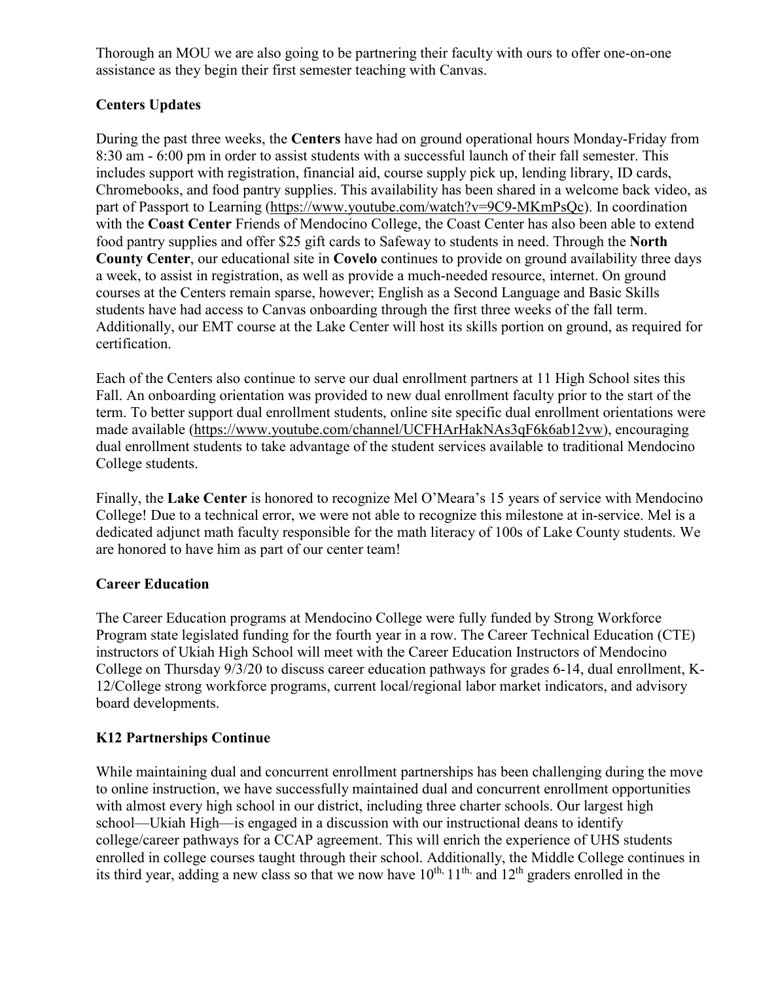Thorough an MOU we are also going to be partnering their faculty with ours to offer one-on-one assistance as they begin their first semester teaching with Canvas.

# **Centers Updates**

During the past three weeks, the **Centers** have had on ground operational hours Monday-Friday from 8:30 am - 6:00 pm in order to assist students with a successful launch of their fall semester. This includes support with registration, financial aid, course supply pick up, lending library, ID cards, Chromebooks, and food pantry supplies. This availability has been shared in a welcome back video, as part of Passport to Learning [\(https://www.youtube.com/watch?v=9C9-MKmPsQc\)](https://www.youtube.com/watch?v=9C9-MKmPsQc). In coordination with the **Coast Center** Friends of Mendocino College, the Coast Center has also been able to extend food pantry supplies and offer \$25 gift cards to Safeway to students in need. Through the **North County Center**, our educational site in **Covelo** continues to provide on ground availability three days a week, to assist in registration, as well as provide a much-needed resource, internet. On ground courses at the Centers remain sparse, however; English as a Second Language and Basic Skills students have had access to Canvas onboarding through the first three weeks of the fall term. Additionally, our EMT course at the Lake Center will host its skills portion on ground, as required for certification.

Each of the Centers also continue to serve our dual enrollment partners at 11 High School sites this Fall. An onboarding orientation was provided to new dual enrollment faculty prior to the start of the term. To better support dual enrollment students, online site specific dual enrollment orientations were made available [\(https://www.youtube.com/channel/UCFHArHakNAs3qF6k6ab12vw\)](https://www.youtube.com/channel/UCFHArHakNAs3qF6k6ab12vw), encouraging dual enrollment students to take advantage of the student services available to traditional Mendocino College students.

Finally, the **Lake Center** is honored to recognize Mel O'Meara's 15 years of service with Mendocino College! Due to a technical error, we were not able to recognize this milestone at in-service. Mel is a dedicated adjunct math faculty responsible for the math literacy of 100s of Lake County students. We are honored to have him as part of our center team!

# **Career Education**

The Career Education programs at Mendocino College were fully funded by Strong Workforce Program state legislated funding for the fourth year in a row. The Career Technical Education (CTE) instructors of Ukiah High School will meet with the Career Education Instructors of Mendocino College on Thursday 9/3/20 to discuss career education pathways for grades 6-14, dual enrollment, K-12/College strong workforce programs, current local/regional labor market indicators, and advisory board developments.

# **K12 Partnerships Continue**

While maintaining dual and concurrent enrollment partnerships has been challenging during the move to online instruction, we have successfully maintained dual and concurrent enrollment opportunities with almost every high school in our district, including three charter schools. Our largest high school—Ukiah High—is engaged in a discussion with our instructional deans to identify college/career pathways for a CCAP agreement. This will enrich the experience of UHS students enrolled in college courses taught through their school. Additionally, the Middle College continues in its third year, adding a new class so that we now have  $10^{th}$ ,  $11^{th}$ , and  $12^{th}$  graders enrolled in the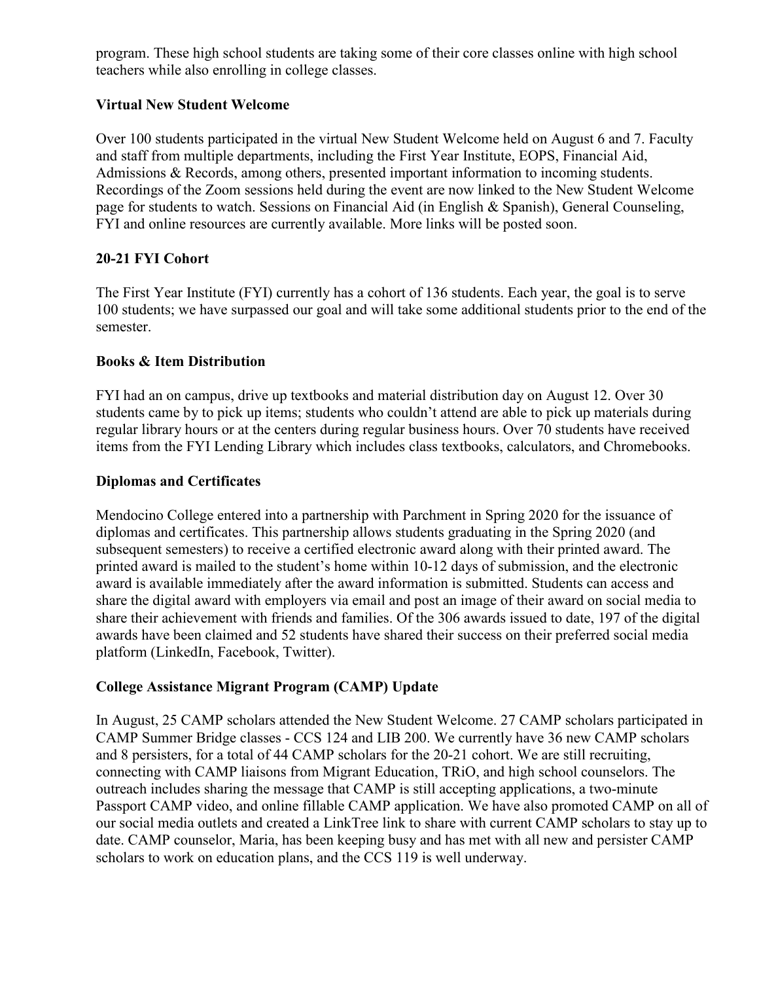program. These high school students are taking some of their core classes online with high school teachers while also enrolling in college classes.

# **Virtual New Student Welcome**

Over 100 students participated in the virtual New Student Welcome held on August 6 and 7. Faculty and staff from multiple departments, including the First Year Institute, EOPS, Financial Aid, Admissions & Records, among others, presented important information to incoming students. Recordings of the Zoom sessions held during the event are now linked to the New Student Welcome page for students to watch. Sessions on Financial Aid (in English & Spanish), General Counseling, FYI and online resources are currently available. More links will be posted soon.

# **20-21 FYI Cohort**

The First Year Institute (FYI) currently has a cohort of 136 students. Each year, the goal is to serve 100 students; we have surpassed our goal and will take some additional students prior to the end of the semester.

# **Books & Item Distribution**

FYI had an on campus, drive up textbooks and material distribution day on August 12. Over 30 students came by to pick up items; students who couldn't attend are able to pick up materials during regular library hours or at the centers during regular business hours. Over 70 students have received items from the FYI Lending Library which includes class textbooks, calculators, and Chromebooks.

### **Diplomas and Certificates**

Mendocino College entered into a partnership with Parchment in Spring 2020 for the issuance of diplomas and certificates. This partnership allows students graduating in the Spring 2020 (and subsequent semesters) to receive a certified electronic award along with their printed award. The printed award is mailed to the student's home within 10-12 days of submission, and the electronic award is available immediately after the award information is submitted. Students can access and share the digital award with employers via email and post an image of their award on social media to share their achievement with friends and families. Of the 306 awards issued to date, 197 of the digital awards have been claimed and 52 students have shared their success on their preferred social media platform (LinkedIn, Facebook, Twitter).

### **College Assistance Migrant Program (CAMP) Update**

In August, 25 CAMP scholars attended the New Student Welcome. 27 CAMP scholars participated in CAMP Summer Bridge classes - CCS 124 and LIB 200. We currently have 36 new CAMP scholars and 8 persisters, for a total of 44 CAMP scholars for the 20-21 cohort. We are still recruiting, connecting with CAMP liaisons from Migrant Education, TRiO, and high school counselors. The outreach includes sharing the message that CAMP is still accepting applications, a two-minute Passport CAMP video, and online fillable CAMP application. We have also promoted CAMP on all of our social media outlets and created a LinkTree link to share with current CAMP scholars to stay up to date. CAMP counselor, Maria, has been keeping busy and has met with all new and persister CAMP scholars to work on education plans, and the CCS 119 is well underway.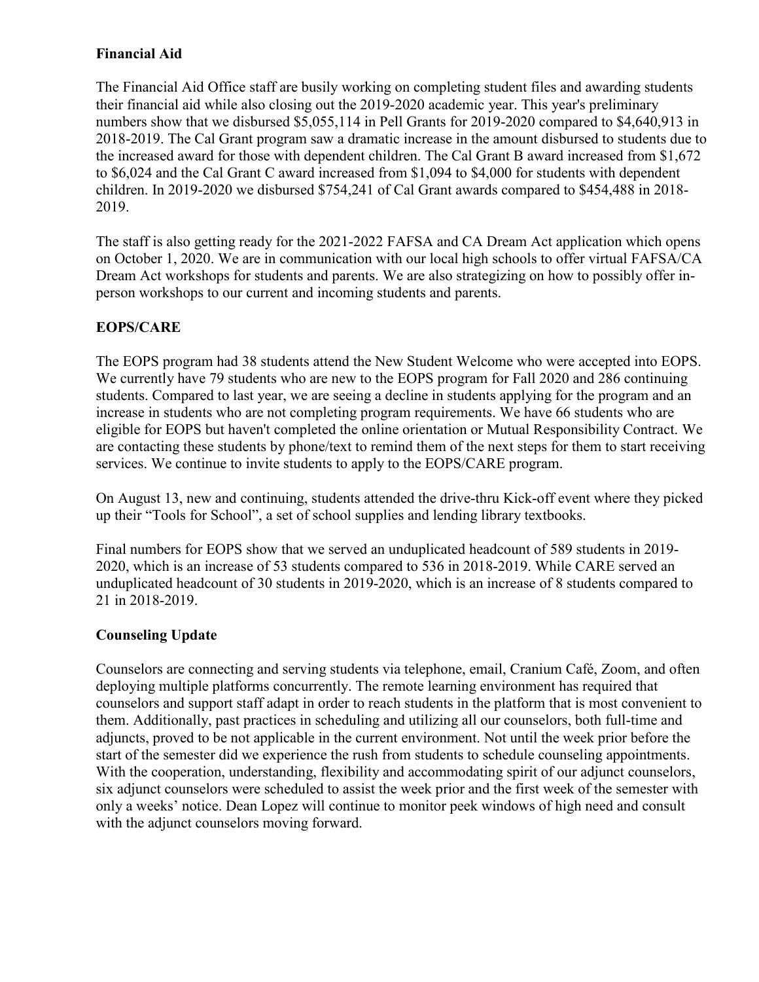# **Financial Aid**

The Financial Aid Office staff are busily working on completing student files and awarding students their financial aid while also closing out the 2019-2020 academic year. This year's preliminary numbers show that we disbursed \$5,055,114 in Pell Grants for 2019-2020 compared to \$4,640,913 in 2018-2019. The Cal Grant program saw a dramatic increase in the amount disbursed to students due to the increased award for those with dependent children. The Cal Grant B award increased from \$1,672 to \$6,024 and the Cal Grant C award increased from \$1,094 to \$4,000 for students with dependent children. In 2019-2020 we disbursed \$754,241 of Cal Grant awards compared to \$454,488 in 2018- 2019.

The staff is also getting ready for the 2021-2022 FAFSA and CA Dream Act application which opens on October 1, 2020. We are in communication with our local high schools to offer virtual FAFSA/CA Dream Act workshops for students and parents. We are also strategizing on how to possibly offer inperson workshops to our current and incoming students and parents.

# **EOPS/CARE**

The EOPS program had 38 students attend the New Student Welcome who were accepted into EOPS. We currently have 79 students who are new to the EOPS program for Fall 2020 and 286 continuing students. Compared to last year, we are seeing a decline in students applying for the program and an increase in students who are not completing program requirements. We have 66 students who are eligible for EOPS but haven't completed the online orientation or Mutual Responsibility Contract. We are contacting these students by phone/text to remind them of the next steps for them to start receiving services. We continue to invite students to apply to the EOPS/CARE program.

On August 13, new and continuing, students attended the drive-thru Kick-off event where they picked up their "Tools for School", a set of school supplies and lending library textbooks.

Final numbers for EOPS show that we served an unduplicated headcount of 589 students in 2019- 2020, which is an increase of 53 students compared to 536 in 2018-2019. While CARE served an unduplicated headcount of 30 students in 2019-2020, which is an increase of 8 students compared to 21 in 2018-2019.

### **Counseling Update**

Counselors are connecting and serving students via telephone, email, Cranium Café, Zoom, and often deploying multiple platforms concurrently. The remote learning environment has required that counselors and support staff adapt in order to reach students in the platform that is most convenient to them. Additionally, past practices in scheduling and utilizing all our counselors, both full-time and adjuncts, proved to be not applicable in the current environment. Not until the week prior before the start of the semester did we experience the rush from students to schedule counseling appointments. With the cooperation, understanding, flexibility and accommodating spirit of our adjunct counselors, six adjunct counselors were scheduled to assist the week prior and the first week of the semester with only a weeks' notice. Dean Lopez will continue to monitor peek windows of high need and consult with the adjunct counselors moving forward.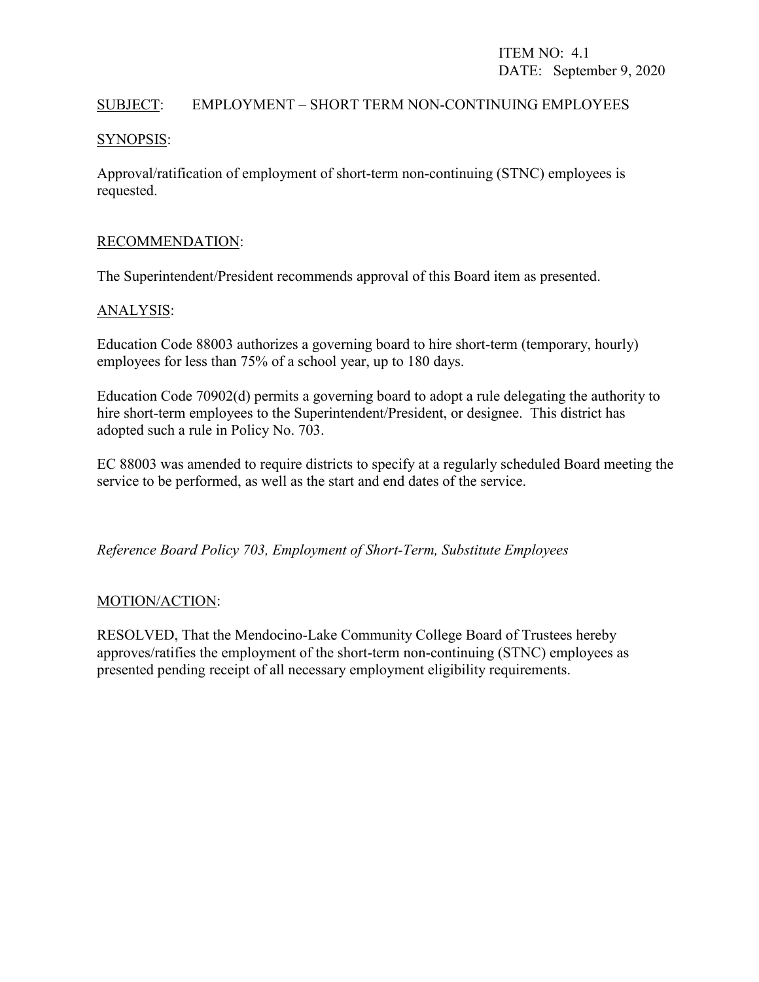### SUBJECT: EMPLOYMENT – SHORT TERM NON-CONTINUING EMPLOYEES

### SYNOPSIS:

Approval/ratification of employment of short-term non-continuing (STNC) employees is requested.

### RECOMMENDATION:

The Superintendent/President recommends approval of this Board item as presented.

### ANALYSIS:

Education Code 88003 authorizes a governing board to hire short-term (temporary, hourly) employees for less than 75% of a school year, up to 180 days.

Education Code 70902(d) permits a governing board to adopt a rule delegating the authority to hire short-term employees to the Superintendent/President, or designee. This district has adopted such a rule in Policy No. 703.

EC 88003 was amended to require districts to specify at a regularly scheduled Board meeting the service to be performed, as well as the start and end dates of the service.

*Reference Board Policy 703, Employment of Short-Term, Substitute Employees*

### MOTION/ACTION:

RESOLVED, That the Mendocino-Lake Community College Board of Trustees hereby approves/ratifies the employment of the short-term non-continuing (STNC) employees as presented pending receipt of all necessary employment eligibility requirements.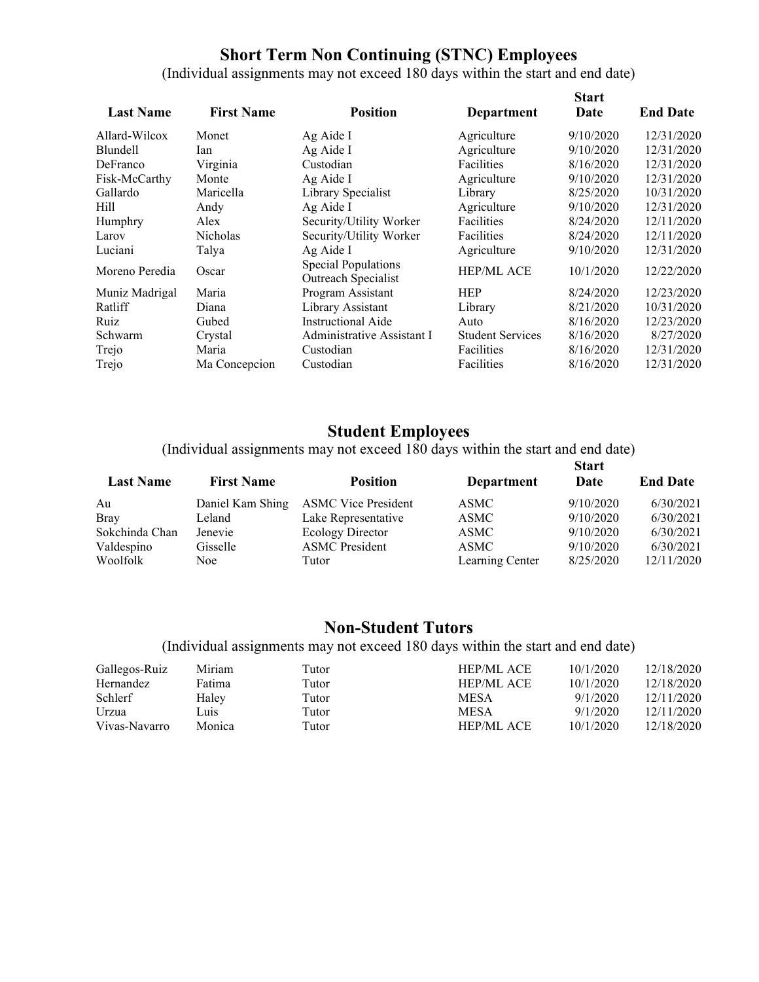# **Short Term Non Continuing (STNC) Employees**

(Individual assignments may not exceed 180 days within the start and end date)

| <b>Last Name</b> | <b>First Name</b> | <b>Position</b>                                   | <b>Department</b>       | <b>Start</b><br>Date | <b>End Date</b> |
|------------------|-------------------|---------------------------------------------------|-------------------------|----------------------|-----------------|
| Allard-Wilcox    | Monet             | Ag Aide I                                         | Agriculture             | 9/10/2020            | 12/31/2020      |
| <b>Blundell</b>  | Ian               | Ag Aide I                                         | Agriculture             | 9/10/2020            | 12/31/2020      |
| DeFranco         | Virginia          | Custodian                                         | Facilities              | 8/16/2020            | 12/31/2020      |
| Fisk-McCarthy    | Monte             | Ag Aide I                                         | Agriculture             | 9/10/2020            | 12/31/2020      |
| Gallardo         | Maricella         | Library Specialist                                | Library                 | 8/25/2020            | 10/31/2020      |
| Hill             | Andy              | Ag Aide I                                         | Agriculture             | 9/10/2020            | 12/31/2020      |
| Humphry          | Alex              | Security/Utility Worker                           | Facilities              | 8/24/2020            | 12/11/2020      |
| Larov            | Nicholas          | Security/Utility Worker                           | Facilities              | 8/24/2020            | 12/11/2020      |
| Luciani          | Talya             | Ag Aide I                                         | Agriculture             | 9/10/2020            | 12/31/2020      |
| Moreno Peredia   | Oscar             | <b>Special Populations</b><br>Outreach Specialist | <b>HEP/ML ACE</b>       | 10/1/2020            | 12/22/2020      |
| Muniz Madrigal   | Maria             | Program Assistant                                 | <b>HEP</b>              | 8/24/2020            | 12/23/2020      |
| Ratliff          | Diana             | Library Assistant                                 | Library                 | 8/21/2020            | 10/31/2020      |
| Ruiz             | Gubed             | Instructional Aide                                | Auto                    | 8/16/2020            | 12/23/2020      |
| Schwarm          | Crystal           | Administrative Assistant I                        | <b>Student Services</b> | 8/16/2020            | 8/27/2020       |
| Trejo            | Maria             | Custodian                                         | Facilities              | 8/16/2020            | 12/31/2020      |
| Trejo            | Ma Concepcion     | Custodian                                         | Facilities              | 8/16/2020            | 12/31/2020      |

# **Student Employees**

(Individual assignments may not exceed 180 days within the start and end date)  $\mathbf{S}$ **Start Start** 

| <b>First Name</b> | <b>Position</b>            | <b>Department</b> | Date      | <b>End Date</b> |  |
|-------------------|----------------------------|-------------------|-----------|-----------------|--|
| Daniel Kam Shing  | <b>ASMC Vice President</b> | <b>ASMC</b>       | 9/10/2020 | 6/30/2021       |  |
| Leland            | Lake Representative        | <b>ASMC</b>       | 9/10/2020 | 6/30/2021       |  |
| Jenevie           | <b>Ecology Director</b>    | <b>ASMC</b>       | 9/10/2020 | 6/30/2021       |  |
| Gisselle          | <b>ASMC</b> President      | <b>ASMC</b>       | 9/10/2020 | 6/30/2021       |  |
| Noe.              | Tutor                      | Learning Center   | 8/25/2020 | 12/11/2020      |  |
|                   |                            |                   |           | Start           |  |

# **Non-Student Tutors**

(Individual assignments may not exceed 180 days within the start and end date)

| Gallegos-Ruiz | Miriam | Tutor | <b>HEP/ML ACE</b> | 10/1/2020 | 12/18/2020 |
|---------------|--------|-------|-------------------|-----------|------------|
| Hernandez     | Fatima | Tutor | <b>HEP/ML ACE</b> | 10/1/2020 | 12/18/2020 |
| Schlerf       | Haley  | Tutor | <b>MESA</b>       | 9/1/2020  | 12/11/2020 |
| Urzua         | Luis   | Tutor | MESA              | 9/1/2020  | 12/11/2020 |
| Vivas-Navarro | Monica | Tutor | <b>HEP/ML ACE</b> | 10/1/2020 | 12/18/2020 |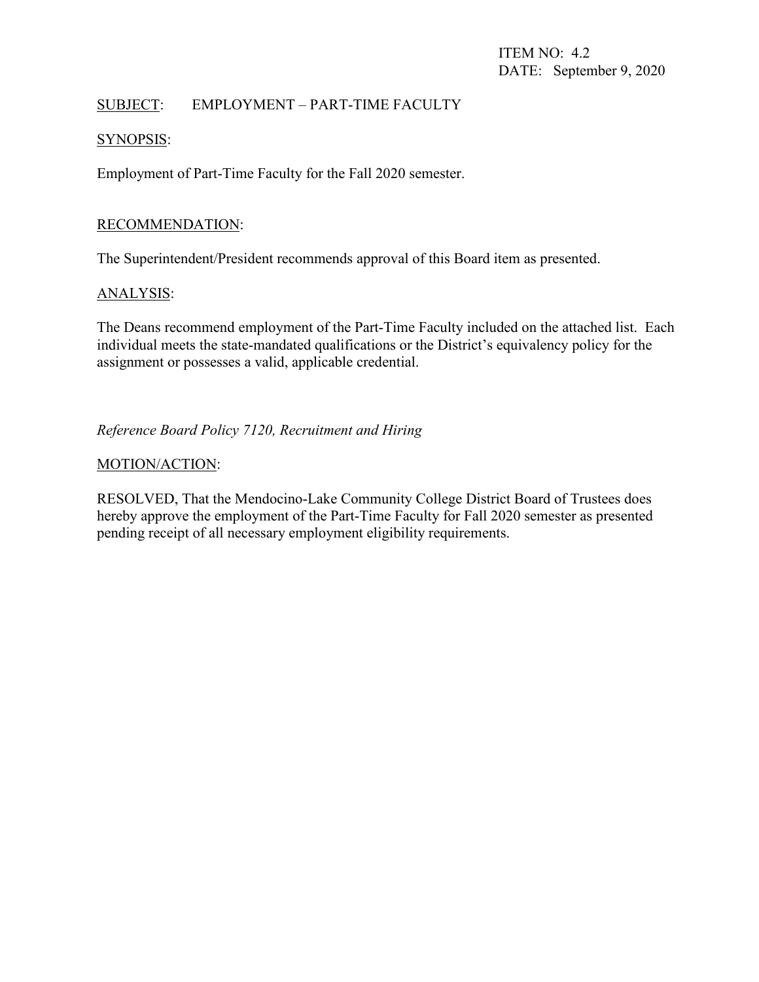### SUBJECT: EMPLOYMENT – PART-TIME FACULTY

### SYNOPSIS:

Employment of Part-Time Faculty for the Fall 2020 semester.

### RECOMMENDATION:

The Superintendent/President recommends approval of this Board item as presented.

### ANALYSIS:

The Deans recommend employment of the Part-Time Faculty included on the attached list. Each individual meets the state-mandated qualifications or the District's equivalency policy for the assignment or possesses a valid, applicable credential.

*Reference Board Policy 7120, Recruitment and Hiring*

### MOTION/ACTION:

RESOLVED, That the Mendocino-Lake Community College District Board of Trustees does hereby approve the employment of the Part-Time Faculty for Fall 2020 semester as presented pending receipt of all necessary employment eligibility requirements.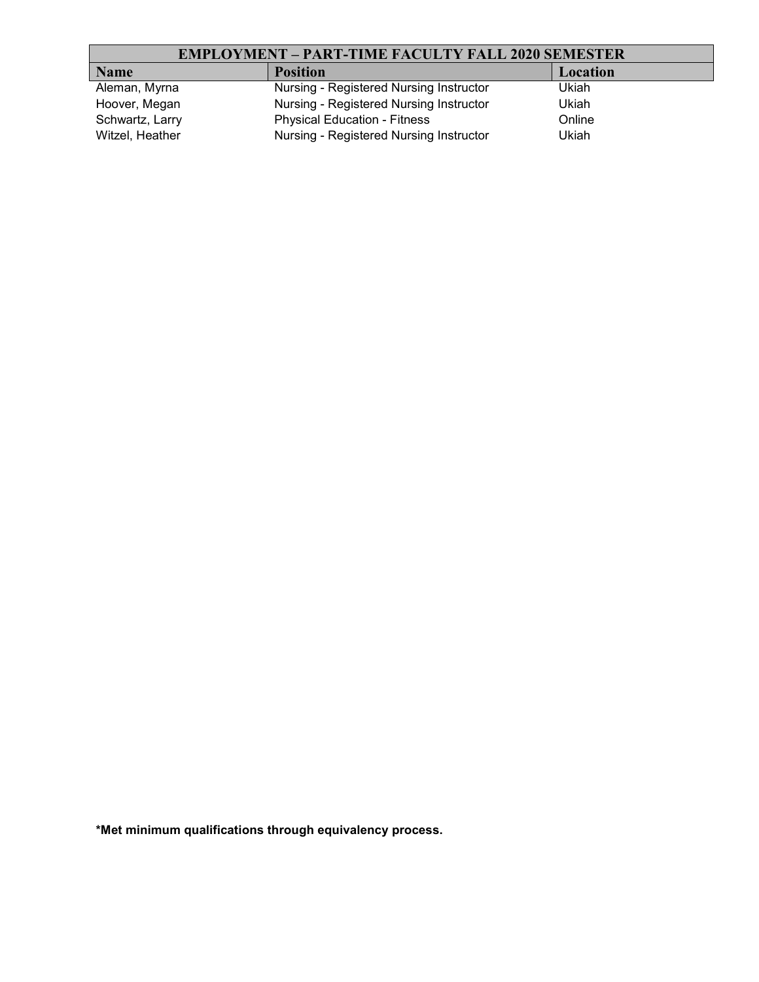# **EMPLOYMENT – PART-TIME FACULTY FALL 2020 SEMESTER**

| <b>Name</b>     | <b>Position</b>                         | Location |
|-----------------|-----------------------------------------|----------|
| Aleman, Myrna   | Nursing - Registered Nursing Instructor | Ukiah    |
| Hoover, Megan   | Nursing - Registered Nursing Instructor | Ukiah    |
| Schwartz, Larry | <b>Physical Education - Fitness</b>     | Online   |
| Witzel, Heather | Nursing - Registered Nursing Instructor | Ukiah    |

**\*Met minimum qualifications through equivalency process.**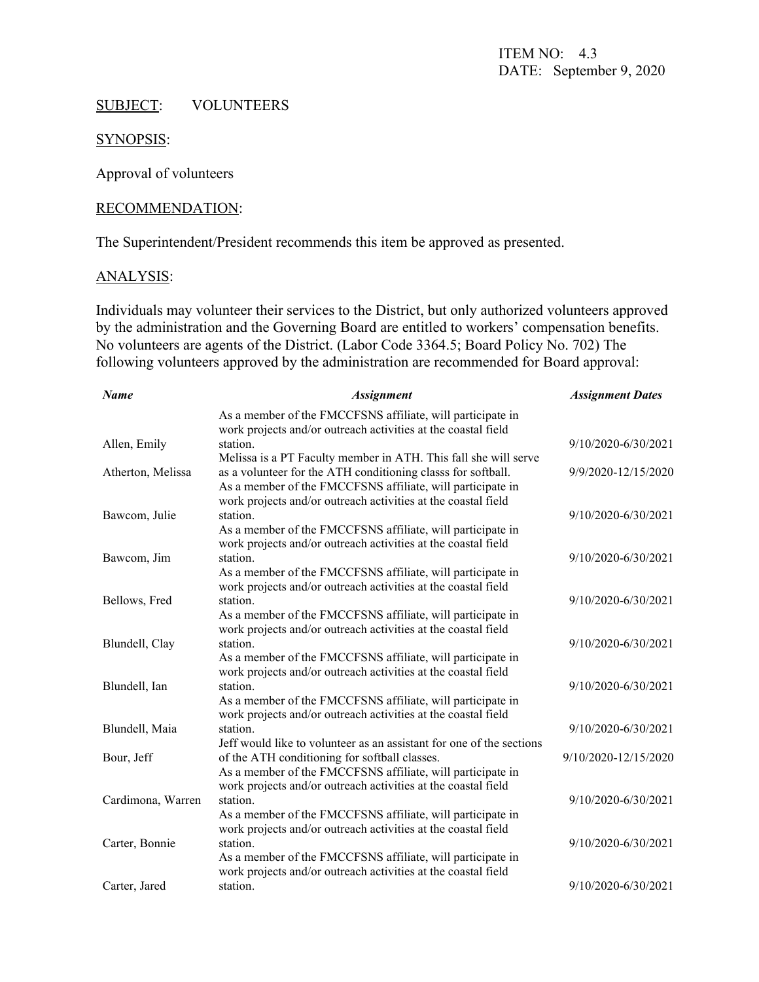# SUBJECT: VOLUNTEERS

### SYNOPSIS:

Approval of volunteers

#### RECOMMENDATION:

The Superintendent/President recommends this item be approved as presented.

#### ANALYSIS:

Individuals may volunteer their services to the District, but only authorized volunteers approved by the administration and the Governing Board are entitled to workers' compensation benefits. No volunteers are agents of the District. (Labor Code 3364.5; Board Policy No. 702) The following volunteers approved by the administration are recommended for Board approval:

| <b>Name</b>       | <b>Assignment</b>                                                                                                                                                                             | <b>Assignment Dates</b> |
|-------------------|-----------------------------------------------------------------------------------------------------------------------------------------------------------------------------------------------|-------------------------|
|                   | As a member of the FMCCFSNS affiliate, will participate in<br>work projects and/or outreach activities at the coastal field                                                                   |                         |
| Allen, Emily      | station.                                                                                                                                                                                      | 9/10/2020-6/30/2021     |
| Atherton, Melissa | Melissa is a PT Faculty member in ATH. This fall she will serve<br>as a volunteer for the ATH conditioning classs for softball.<br>As a member of the FMCCFSNS affiliate, will participate in | 9/9/2020-12/15/2020     |
| Bawcom, Julie     | work projects and/or outreach activities at the coastal field<br>station.<br>As a member of the FMCCFSNS affiliate, will participate in                                                       | 9/10/2020-6/30/2021     |
| Bawcom, Jim       | work projects and/or outreach activities at the coastal field<br>station.                                                                                                                     | 9/10/2020-6/30/2021     |
|                   | As a member of the FMCCFSNS affiliate, will participate in<br>work projects and/or outreach activities at the coastal field                                                                   |                         |
| Bellows, Fred     | station.<br>As a member of the FMCCFSNS affiliate, will participate in<br>work projects and/or outreach activities at the coastal field                                                       | 9/10/2020-6/30/2021     |
| Blundell, Clay    | station.<br>As a member of the FMCCFSNS affiliate, will participate in                                                                                                                        | 9/10/2020-6/30/2021     |
| Blundell, Ian     | work projects and/or outreach activities at the coastal field<br>station.<br>As a member of the FMCCFSNS affiliate, will participate in                                                       | 9/10/2020-6/30/2021     |
| Blundell, Maia    | work projects and/or outreach activities at the coastal field<br>station.                                                                                                                     | 9/10/2020-6/30/2021     |
| Bour, Jeff        | Jeff would like to volunteer as an assistant for one of the sections<br>of the ATH conditioning for softball classes.<br>As a member of the FMCCFSNS affiliate, will participate in           | 9/10/2020-12/15/2020    |
| Cardimona, Warren | work projects and/or outreach activities at the coastal field<br>station.<br>As a member of the FMCCFSNS affiliate, will participate in                                                       | 9/10/2020-6/30/2021     |
| Carter, Bonnie    | work projects and/or outreach activities at the coastal field<br>station.<br>As a member of the FMCCFSNS affiliate, will participate in                                                       | 9/10/2020-6/30/2021     |
| Carter, Jared     | work projects and/or outreach activities at the coastal field<br>station.                                                                                                                     | 9/10/2020-6/30/2021     |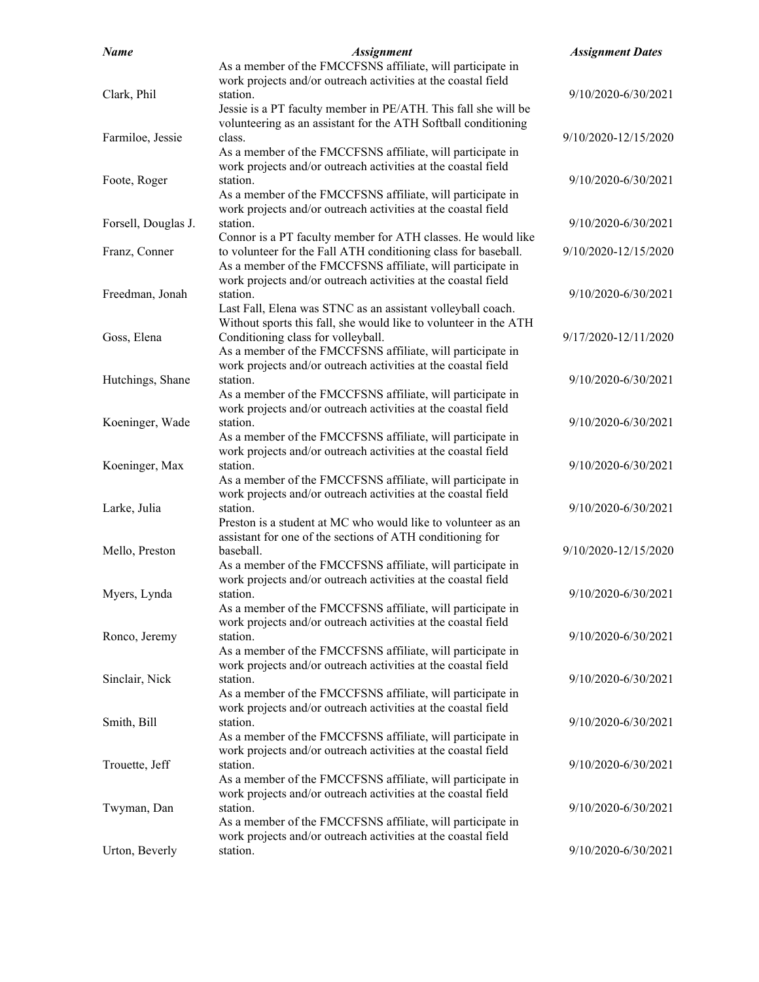| <b>Name</b>         | <b>Assignment</b>                                                | <b>Assignment Dates</b> |
|---------------------|------------------------------------------------------------------|-------------------------|
|                     | As a member of the FMCCFSNS affiliate, will participate in       |                         |
|                     | work projects and/or outreach activities at the coastal field    |                         |
| Clark, Phil         | station.                                                         | 9/10/2020-6/30/2021     |
|                     | Jessie is a PT faculty member in PE/ATH. This fall she will be   |                         |
|                     | volunteering as an assistant for the ATH Softball conditioning   |                         |
| Farmiloe, Jessie    | class.                                                           | 9/10/2020-12/15/2020    |
|                     | As a member of the FMCCFSNS affiliate, will participate in       |                         |
|                     | work projects and/or outreach activities at the coastal field    |                         |
| Foote, Roger        | station.                                                         | 9/10/2020-6/30/2021     |
|                     | As a member of the FMCCFSNS affiliate, will participate in       |                         |
|                     | work projects and/or outreach activities at the coastal field    |                         |
|                     | station.                                                         |                         |
| Forsell, Douglas J. |                                                                  | 9/10/2020-6/30/2021     |
|                     | Connor is a PT faculty member for ATH classes. He would like     |                         |
| Franz, Conner       | to volunteer for the Fall ATH conditioning class for baseball.   | 9/10/2020-12/15/2020    |
|                     | As a member of the FMCCFSNS affiliate, will participate in       |                         |
|                     | work projects and/or outreach activities at the coastal field    |                         |
| Freedman, Jonah     | station.                                                         | 9/10/2020-6/30/2021     |
|                     | Last Fall, Elena was STNC as an assistant volleyball coach.      |                         |
|                     | Without sports this fall, she would like to volunteer in the ATH |                         |
| Goss, Elena         | Conditioning class for volleyball.                               | 9/17/2020-12/11/2020    |
|                     | As a member of the FMCCFSNS affiliate, will participate in       |                         |
|                     | work projects and/or outreach activities at the coastal field    |                         |
| Hutchings, Shane    | station.                                                         | 9/10/2020-6/30/2021     |
|                     | As a member of the FMCCFSNS affiliate, will participate in       |                         |
|                     | work projects and/or outreach activities at the coastal field    |                         |
| Koeninger, Wade     | station.                                                         | 9/10/2020-6/30/2021     |
|                     | As a member of the FMCCFSNS affiliate, will participate in       |                         |
|                     | work projects and/or outreach activities at the coastal field    |                         |
| Koeninger, Max      | station.                                                         | 9/10/2020-6/30/2021     |
|                     | As a member of the FMCCFSNS affiliate, will participate in       |                         |
|                     | work projects and/or outreach activities at the coastal field    |                         |
| Larke, Julia        | station.                                                         | 9/10/2020-6/30/2021     |
|                     | Preston is a student at MC who would like to volunteer as an     |                         |
|                     | assistant for one of the sections of ATH conditioning for        |                         |
|                     | baseball.                                                        | 9/10/2020-12/15/2020    |
| Mello, Preston      |                                                                  |                         |
|                     | As a member of the FMCCFSNS affiliate, will participate in       |                         |
|                     | work projects and/or outreach activities at the coastal field    |                         |
| Myers, Lynda        | station.                                                         | 9/10/2020-6/30/2021     |
|                     | As a member of the FMCCFSNS affiliate, will participate in       |                         |
|                     | work projects and/or outreach activities at the coastal field    |                         |
| Ronco, Jeremy       | station.                                                         | 9/10/2020-6/30/2021     |
|                     | As a member of the FMCCFSNS affiliate, will participate in       |                         |
|                     | work projects and/or outreach activities at the coastal field    |                         |
| Sinclair, Nick      | station.                                                         | 9/10/2020-6/30/2021     |
|                     | As a member of the FMCCFSNS affiliate, will participate in       |                         |
|                     | work projects and/or outreach activities at the coastal field    |                         |
| Smith, Bill         | station.                                                         | 9/10/2020-6/30/2021     |
|                     | As a member of the FMCCFSNS affiliate, will participate in       |                         |
|                     | work projects and/or outreach activities at the coastal field    |                         |
| Trouette, Jeff      | station.                                                         | 9/10/2020-6/30/2021     |
|                     | As a member of the FMCCFSNS affiliate, will participate in       |                         |
|                     | work projects and/or outreach activities at the coastal field    |                         |
| Twyman, Dan         | station.                                                         | 9/10/2020-6/30/2021     |
|                     | As a member of the FMCCFSNS affiliate, will participate in       |                         |
|                     | work projects and/or outreach activities at the coastal field    |                         |
| Urton, Beverly      | station.                                                         | 9/10/2020-6/30/2021     |
|                     |                                                                  |                         |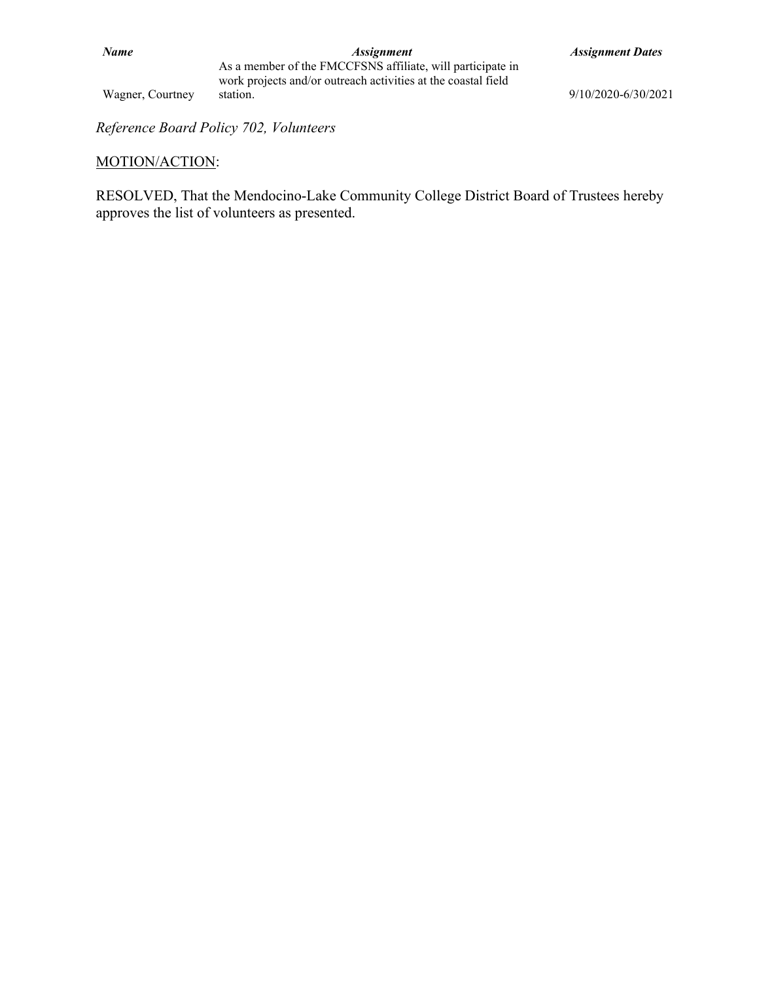Wagner, Courtney

*Reference Board Policy 702, Volunteers*

#### MOTION/ACTION:

RESOLVED, That the Mendocino-Lake Community College District Board of Trustees hereby approves the list of volunteers as presented.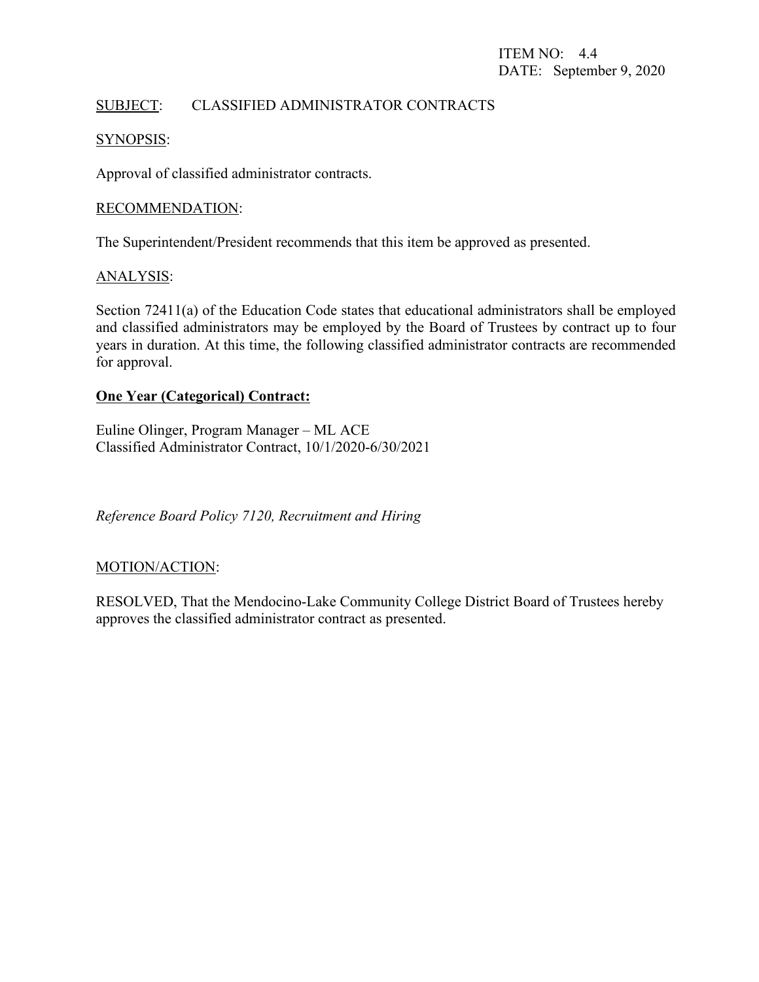### SUBJECT: CLASSIFIED ADMINISTRATOR CONTRACTS

#### SYNOPSIS:

Approval of classified administrator contracts.

#### RECOMMENDATION:

The Superintendent/President recommends that this item be approved as presented.

#### ANALYSIS:

Section 72411(a) of the Education Code states that educational administrators shall be employed and classified administrators may be employed by the Board of Trustees by contract up to four years in duration. At this time, the following classified administrator contracts are recommended for approval.

### **One Year (Categorical) Contract:**

Euline Olinger, Program Manager – ML ACE Classified Administrator Contract, 10/1/2020-6/30/2021

*Reference Board Policy 7120, Recruitment and Hiring*

### MOTION/ACTION:

RESOLVED, That the Mendocino-Lake Community College District Board of Trustees hereby approves the classified administrator contract as presented.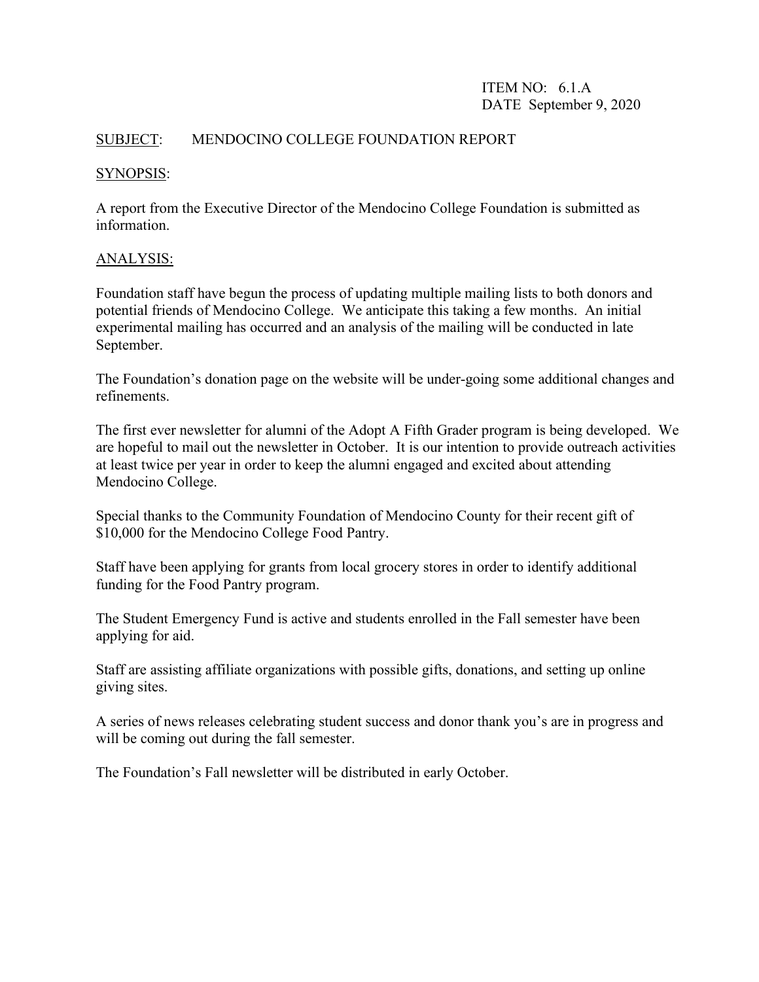### ITEM NO: 6.1.A DATE September 9, 2020

### SUBJECT: MENDOCINO COLLEGE FOUNDATION REPORT

#### SYNOPSIS:

A report from the Executive Director of the Mendocino College Foundation is submitted as information.

### ANALYSIS:

Foundation staff have begun the process of updating multiple mailing lists to both donors and potential friends of Mendocino College. We anticipate this taking a few months. An initial experimental mailing has occurred and an analysis of the mailing will be conducted in late September.

The Foundation's donation page on the website will be under-going some additional changes and refinements.

The first ever newsletter for alumni of the Adopt A Fifth Grader program is being developed. We are hopeful to mail out the newsletter in October. It is our intention to provide outreach activities at least twice per year in order to keep the alumni engaged and excited about attending Mendocino College.

Special thanks to the Community Foundation of Mendocino County for their recent gift of \$10,000 for the Mendocino College Food Pantry.

Staff have been applying for grants from local grocery stores in order to identify additional funding for the Food Pantry program.

The Student Emergency Fund is active and students enrolled in the Fall semester have been applying for aid.

Staff are assisting affiliate organizations with possible gifts, donations, and setting up online giving sites.

A series of news releases celebrating student success and donor thank you's are in progress and will be coming out during the fall semester.

The Foundation's Fall newsletter will be distributed in early October.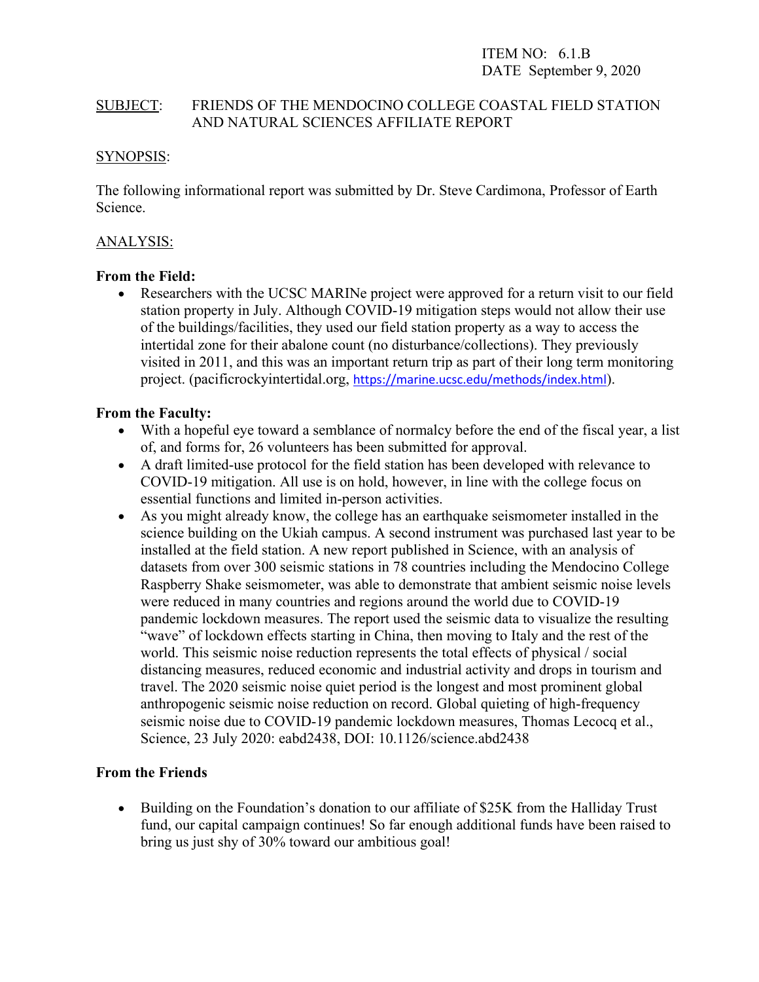ITEM NO: 6.1.B DATE September 9, 2020

### SUBJECT: FRIENDS OF THE MENDOCINO COLLEGE COASTAL FIELD STATION AND NATURAL SCIENCES AFFILIATE REPORT

#### SYNOPSIS:

The following informational report was submitted by Dr. Steve Cardimona, Professor of Earth Science.

#### ANALYSIS:

#### **From the Field:**

• Researchers with the UCSC MARINe project were approved for a return visit to our field station property in July. Although COVID-19 mitigation steps would not allow their use of the buildings/facilities, they used our field station property as a way to access the intertidal zone for their abalone count (no disturbance/collections). They previously visited in 2011, and this was an important return trip as part of their long term monitoring project. (pacificrockyintertidal.org, <https://marine.ucsc.edu/methods/index.html>).

#### **From the Faculty:**

- With a hopeful eye toward a semblance of normalcy before the end of the fiscal year, a list of, and forms for, 26 volunteers has been submitted for approval.
- A draft limited-use protocol for the field station has been developed with relevance to COVID-19 mitigation. All use is on hold, however, in line with the college focus on essential functions and limited in-person activities.
- As you might already know, the college has an earthquake seismometer installed in the science building on the Ukiah campus. A second instrument was purchased last year to be installed at the field station. A new report published in Science, with an analysis of datasets from over 300 seismic stations in 78 countries including the Mendocino College Raspberry Shake seismometer, was able to demonstrate that ambient seismic noise levels were reduced in many countries and regions around the world due to COVID-19 pandemic lockdown measures. The report used the seismic data to visualize the resulting "wave" of lockdown effects starting in China, then moving to Italy and the rest of the world. This seismic noise reduction represents the total effects of physical / social distancing measures, reduced economic and industrial activity and drops in tourism and travel. The 2020 seismic noise quiet period is the longest and most prominent global anthropogenic seismic noise reduction on record. Global quieting of high-frequency seismic noise due to COVID-19 pandemic lockdown measures, Thomas Lecocq et al., Science, 23 July 2020: eabd2438, DOI: 10.1126/science.abd2438

### **From the Friends**

• Building on the Foundation's donation to our affiliate of \$25K from the Halliday Trust fund, our capital campaign continues! So far enough additional funds have been raised to bring us just shy of 30% toward our ambitious goal!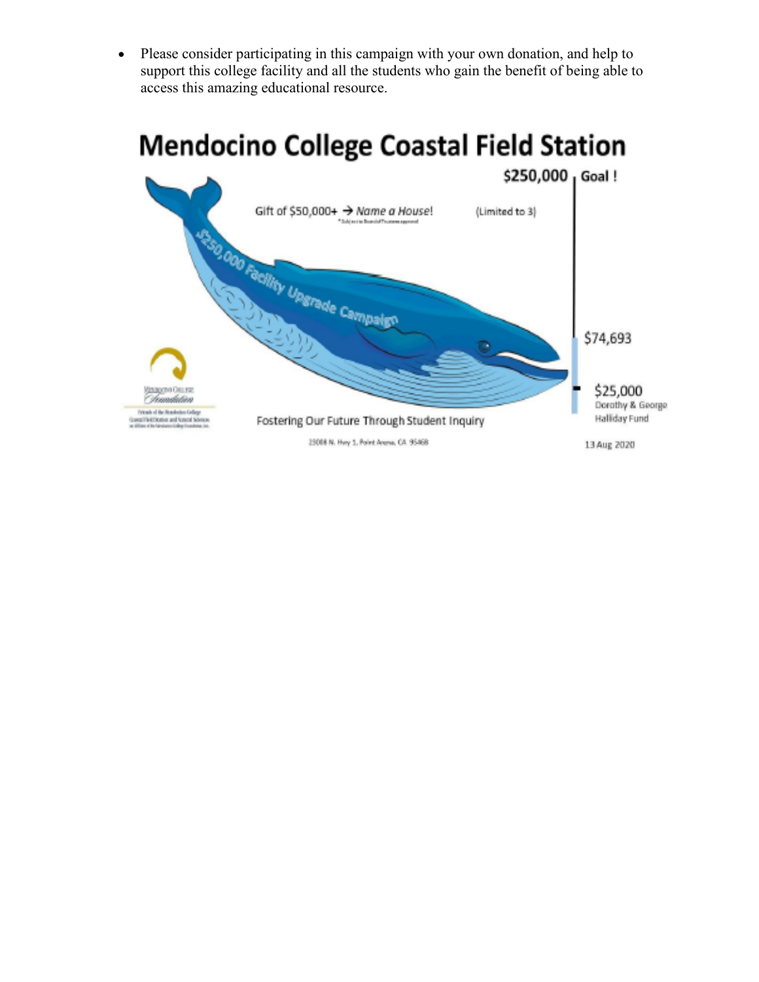• Please consider participating in this campaign with your own donation, and help to support this college facility and all the students who gain the benefit of being able to access this amazing educational resource.

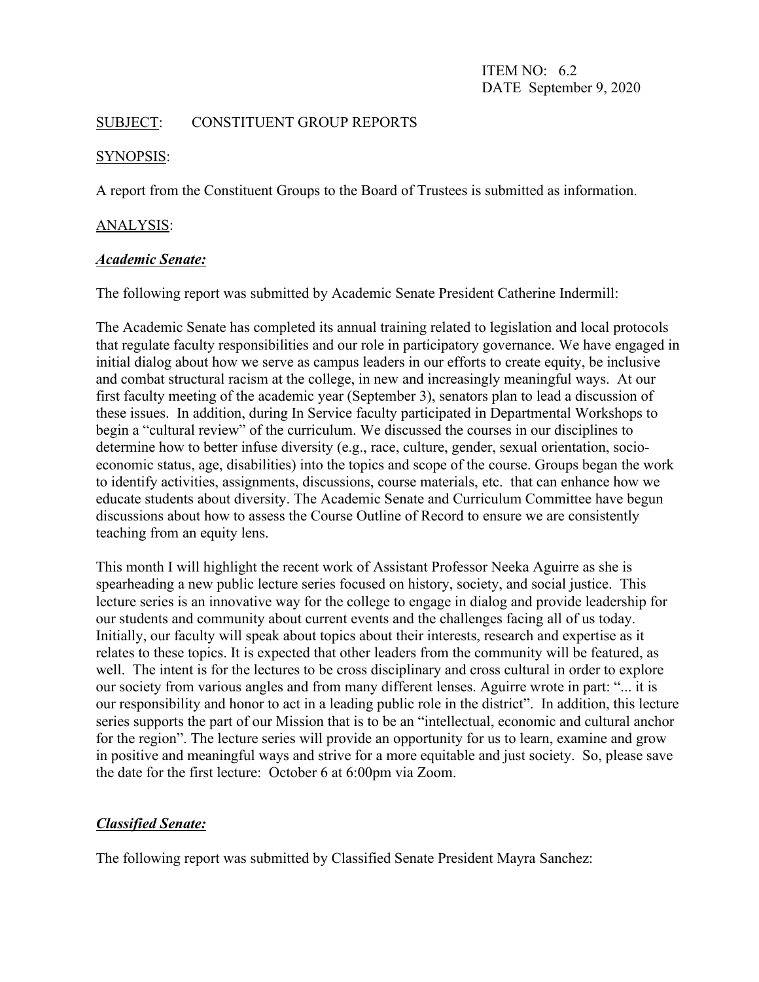ITEM NO: 6.2 DATE September 9, 2020

#### SUBJECT: CONSTITUENT GROUP REPORTS

#### SYNOPSIS:

A report from the Constituent Groups to the Board of Trustees is submitted as information.

#### ANALYSIS:

#### *Academic Senate:*

The following report was submitted by Academic Senate President Catherine Indermill:

The Academic Senate has completed its annual training related to legislation and local protocols that regulate faculty responsibilities and our role in participatory governance. We have engaged in initial dialog about how we serve as campus leaders in our efforts to create equity, be inclusive and combat structural racism at the college, in new and increasingly meaningful ways. At our first faculty meeting of the academic year (September 3), senators plan to lead a discussion of these issues. In addition, during In Service faculty participated in Departmental Workshops to begin a "cultural review" of the curriculum. We discussed the courses in our disciplines to determine how to better infuse diversity (e.g., race, culture, gender, sexual orientation, socioeconomic status, age, disabilities) into the topics and scope of the course. Groups began the work to identify activities, assignments, discussions, course materials, etc. that can enhance how we educate students about diversity. The Academic Senate and Curriculum Committee have begun discussions about how to assess the Course Outline of Record to ensure we are consistently teaching from an equity lens.

This month I will highlight the recent work of Assistant Professor Neeka Aguirre as she is spearheading a new public lecture series focused on history, society, and social justice. This lecture series is an innovative way for the college to engage in dialog and provide leadership for our students and community about current events and the challenges facing all of us today. Initially, our faculty will speak about topics about their interests, research and expertise as it relates to these topics. It is expected that other leaders from the community will be featured, as well. The intent is for the lectures to be cross disciplinary and cross cultural in order to explore our society from various angles and from many different lenses. Aguirre wrote in part: "... it is our responsibility and honor to act in a leading public role in the district". In addition, this lecture series supports the part of our Mission that is to be an "intellectual, economic and cultural anchor for the region". The lecture series will provide an opportunity for us to learn, examine and grow in positive and meaningful ways and strive for a more equitable and just society. So, please save the date for the first lecture: October 6 at 6:00pm via Zoom.

### *Classified Senate:*

The following report was submitted by Classified Senate President Mayra Sanchez: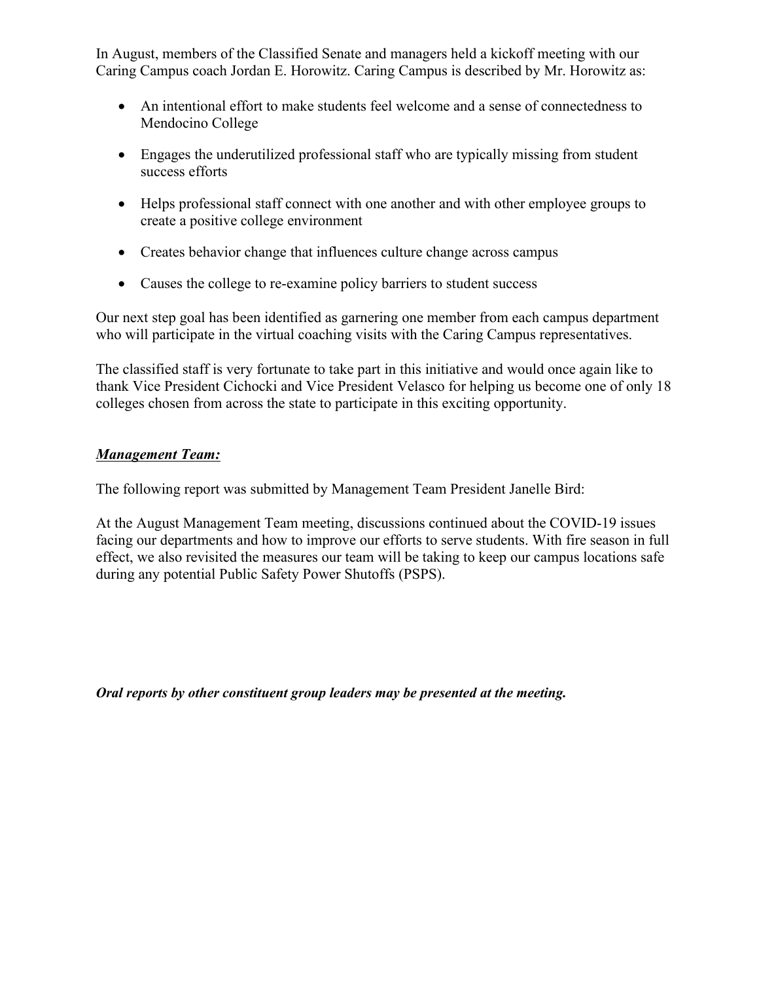In August, members of the Classified Senate and managers held a kickoff meeting with our Caring Campus coach Jordan E. Horowitz. Caring Campus is described by Mr. Horowitz as:

- An intentional effort to make students feel welcome and a sense of connectedness to Mendocino College
- Engages the underutilized professional staff who are typically missing from student success efforts
- Helps professional staff connect with one another and with other employee groups to create a positive college environment
- Creates behavior change that influences culture change across campus
- Causes the college to re-examine policy barriers to student success

Our next step goal has been identified as garnering one member from each campus department who will participate in the virtual coaching visits with the Caring Campus representatives.

The classified staff is very fortunate to take part in this initiative and would once again like to thank Vice President Cichocki and Vice President Velasco for helping us become one of only 18 colleges chosen from across the state to participate in this exciting opportunity.

# *Management Team:*

The following report was submitted by Management Team President Janelle Bird:

At the August Management Team meeting, discussions continued about the COVID-19 issues facing our departments and how to improve our efforts to serve students. With fire season in full effect, we also revisited the measures our team will be taking to keep our campus locations safe during any potential Public Safety Power Shutoffs (PSPS).

*Oral reports by other constituent group leaders may be presented at the meeting.*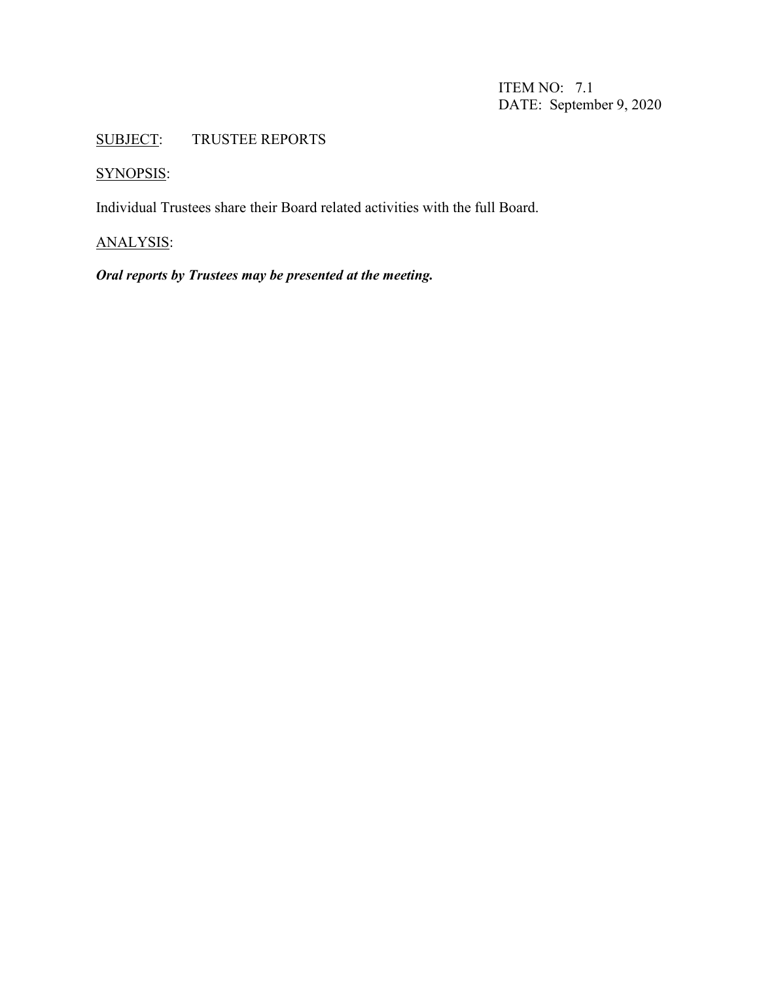ITEM NO: 7.1 DATE: September 9, 2020

# SUBJECT: TRUSTEE REPORTS

# SYNOPSIS:

Individual Trustees share their Board related activities with the full Board.

# ANALYSIS:

# *Oral reports by Trustees may be presented at the meeting.*